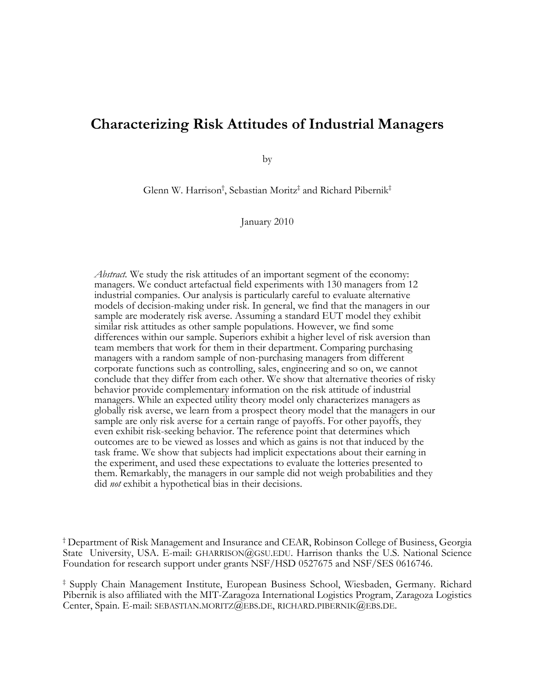## **Characterizing Risk Attitudes of Industrial Managers**

by

Glenn W. Harrison† , Sebastian Moritz‡ and Richard Pibernik‡

January 2010

*Abstract.* We study the risk attitudes of an important segment of the economy: managers. We conduct artefactual field experiments with 130 managers from 12 industrial companies. Our analysis is particularly careful to evaluate alternative models of decision-making under risk. In general, we find that the managers in our sample are moderately risk averse. Assuming a standard EUT model they exhibit similar risk attitudes as other sample populations. However, we find some differences within our sample. Superiors exhibit a higher level of risk aversion than team members that work for them in their department. Comparing purchasing managers with a random sample of non-purchasing managers from different corporate functions such as controlling, sales, engineering and so on, we cannot conclude that they differ from each other. We show that alternative theories of risky behavior provide complementary information on the risk attitude of industrial managers. While an expected utility theory model only characterizes managers as globally risk averse, we learn from a prospect theory model that the managers in our sample are only risk averse for a certain range of payoffs. For other payoffs, they even exhibit risk-seeking behavior. The reference point that determines which outcomes are to be viewed as losses and which as gains is not that induced by the task frame. We show that subjects had implicit expectations about their earning in the experiment, and used these expectations to evaluate the lotteries presented to them. Remarkably, the managers in our sample did not weigh probabilities and they did *not* exhibit a hypothetical bias in their decisions.

† Department of Risk Management and Insurance and CEAR, Robinson College of Business, Georgia State University, USA. E-mail: GHARRISON@GSU.EDU. Harrison thanks the U.S. National Science Foundation for research support under grants NSF/HSD 0527675 and NSF/SES 0616746.

‡ Supply Chain Management Institute, European Business School, Wiesbaden, Germany. Richard Pibernik is also affiliated with the MIT-Zaragoza International Logistics Program, Zaragoza Logistics Center, Spain. E-mail: SEBASTIAN.MORITZ@EBS.DE, RICHARD.PIBERNIK@EBS.DE.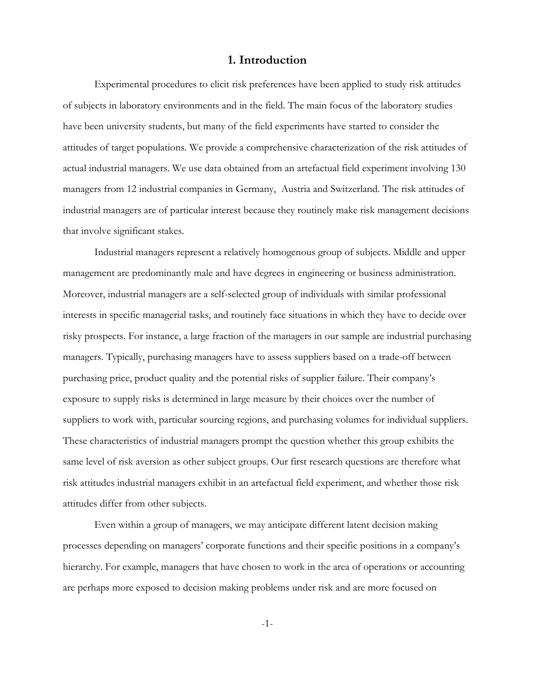## **1. Introduction**

Experimental procedures to elicit risk preferences have been applied to study risk attitudes of subjects in laboratory environments and in the field. The main focus of the laboratory studies have been university students, but many of the field experiments have started to consider the attitudes of target populations. We provide a comprehensive characterization of the risk attitudes of actual industrial managers. We use data obtained from an artefactual field experiment involving 130 managers from 12 industrial companies in Germany, Austria and Switzerland. The risk attitudes of industrial managers are of particular interest because they routinely make risk management decisions that involve significant stakes.

Industrial managers represent a relatively homogenous group of subjects. Middle and upper management are predominantly male and have degrees in engineering or business administration. Moreover, industrial managers are a self-selected group of individuals with similar professional interests in specific managerial tasks, and routinely face situations in which they have to decide over risky prospects. For instance, a large fraction of the managers in our sample are industrial purchasing managers. Typically, purchasing managers have to assess suppliers based on a trade-off between purchasing price, product quality and the potential risks of supplier failure. Their company's exposure to supply risks is determined in large measure by their choices over the number of suppliers to work with, particular sourcing regions, and purchasing volumes for individual suppliers. These characteristics of industrial managers prompt the question whether this group exhibits the same level of risk aversion as other subject groups. Our first research questions are therefore what risk attitudes industrial managers exhibit in an artefactual field experiment, and whether those risk attitudes differ from other subjects.

Even within a group of managers, we may anticipate different latent decision making processes depending on managers' corporate functions and their specific positions in a company's hierarchy. For example, managers that have chosen to work in the area of operations or accounting are perhaps more exposed to decision making problems under risk and are more focused on

-1-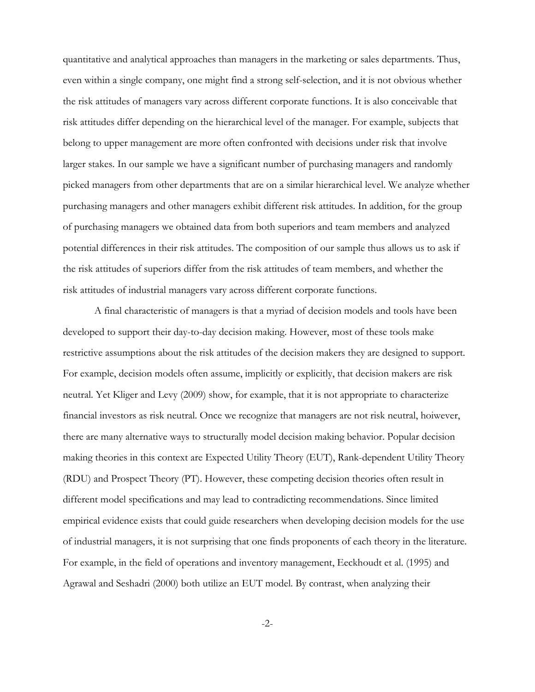quantitative and analytical approaches than managers in the marketing or sales departments. Thus, even within a single company, one might find a strong self-selection, and it is not obvious whether the risk attitudes of managers vary across different corporate functions. It is also conceivable that risk attitudes differ depending on the hierarchical level of the manager. For example, subjects that belong to upper management are more often confronted with decisions under risk that involve larger stakes. In our sample we have a significant number of purchasing managers and randomly picked managers from other departments that are on a similar hierarchical level. We analyze whether purchasing managers and other managers exhibit different risk attitudes. In addition, for the group of purchasing managers we obtained data from both superiors and team members and analyzed potential differences in their risk attitudes. The composition of our sample thus allows us to ask if the risk attitudes of superiors differ from the risk attitudes of team members, and whether the risk attitudes of industrial managers vary across different corporate functions.

A final characteristic of managers is that a myriad of decision models and tools have been developed to support their day-to-day decision making. However, most of these tools make restrictive assumptions about the risk attitudes of the decision makers they are designed to support. For example, decision models often assume, implicitly or explicitly, that decision makers are risk neutral. Yet Kliger and Levy (2009) show, for example, that it is not appropriate to characterize financial investors as risk neutral. Once we recognize that managers are not risk neutral, hoiwever, there are many alternative ways to structurally model decision making behavior. Popular decision making theories in this context are Expected Utility Theory (EUT), Rank-dependent Utility Theory (RDU) and Prospect Theory (PT). However, these competing decision theories often result in different model specifications and may lead to contradicting recommendations. Since limited empirical evidence exists that could guide researchers when developing decision models for the use of industrial managers, it is not surprising that one finds proponents of each theory in the literature. For example, in the field of operations and inventory management, Eeckhoudt et al. (1995) and Agrawal and Seshadri (2000) both utilize an EUT model. By contrast, when analyzing their

-2-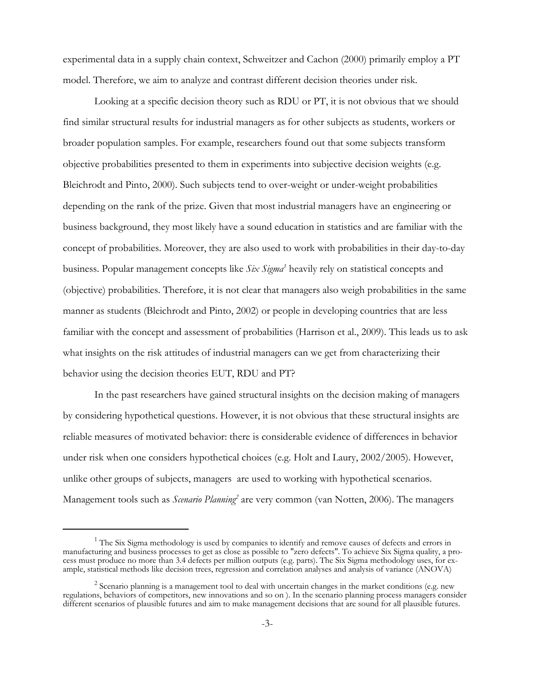experimental data in a supply chain context, Schweitzer and Cachon (2000) primarily employ a PT model. Therefore, we aim to analyze and contrast different decision theories under risk.

Looking at a specific decision theory such as RDU or PT, it is not obvious that we should find similar structural results for industrial managers as for other subjects as students, workers or broader population samples. For example, researchers found out that some subjects transform objective probabilities presented to them in experiments into subjective decision weights (e.g. Bleichrodt and Pinto, 2000). Such subjects tend to over-weight or under-weight probabilities depending on the rank of the prize. Given that most industrial managers have an engineering or business background, they most likely have a sound education in statistics and are familiar with the concept of probabilities. Moreover, they are also used to work with probabilities in their day-to-day business. Popular management concepts like *Six Sigma<sup>1</sup>* heavily rely on statistical concepts and (objective) probabilities. Therefore, it is not clear that managers also weigh probabilities in the same manner as students (Bleichrodt and Pinto, 2002) or people in developing countries that are less familiar with the concept and assessment of probabilities (Harrison et al., 2009). This leads us to ask what insights on the risk attitudes of industrial managers can we get from characterizing their behavior using the decision theories EUT, RDU and PT?

In the past researchers have gained structural insights on the decision making of managers by considering hypothetical questions. However, it is not obvious that these structural insights are reliable measures of motivated behavior: there is considerable evidence of differences in behavior under risk when one considers hypothetical choices (e.g. Holt and Laury, 2002/2005). However, unlike other groups of subjects, managers are used to working with hypothetical scenarios. Management tools such as *Scenario Planning*<sup>2</sup> are very common (van Notten, 2006). The managers

<sup>&</sup>lt;sup>1</sup> The Six Sigma methodology is used by companies to identify and remove causes of defects and errors in manufacturing and business processes to get as close as possible to "zero defects". To achieve Six Sigma quality, a process must produce no more than 3.4 defects per million outputs (e.g. parts). The Six Sigma methodology uses, for example, statistical methods like decision trees, regression and correlation analyses and analysis of variance (ANOVA)

<sup>&</sup>lt;sup>2</sup> Scenario planning is a management tool to deal with uncertain changes in the market conditions (e.g. new regulations, behaviors of competitors, new innovations and so on ). In the scenario planning process managers consider different scenarios of plausible futures and aim to make management decisions that are sound for all plausible futures.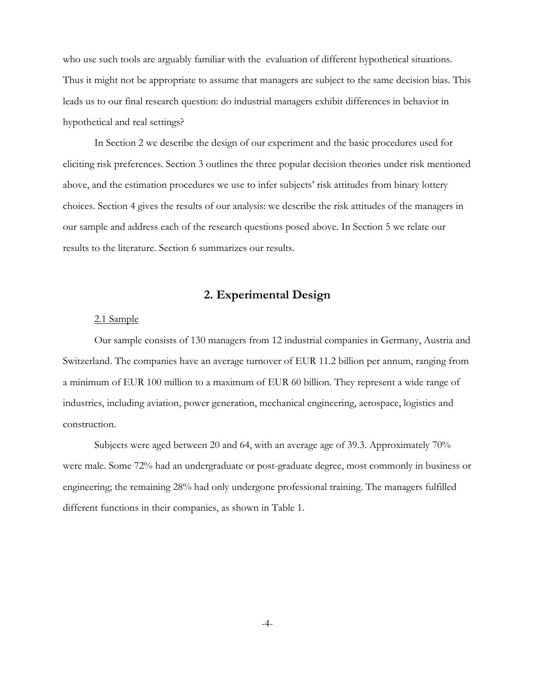who use such tools are arguably familiar with the evaluation of different hypothetical situations. Thus it might not be appropriate to assume that managers are subject to the same decision bias. This leads us to our final research question: do industrial managers exhibit differences in behavior in hypothetical and real settings?

In Section 2 we describe the design of our experiment and the basic procedures used for eliciting risk preferences. Section 3 outlines the three popular decision theories under risk mentioned above, and the estimation procedures we use to infer subjects' risk attitudes from binary lottery choices. Section 4 gives the results of our analysis: we describe the risk attitudes of the managers in our sample and address each of the research questions posed above. In Section 5 we relate our results to the literature. Section 6 summarizes our results.

## **2. Experimental Design**

### 2.1 Sample

Our sample consists of 130 managers from 12 industrial companies in Germany, Austria and Switzerland. The companies have an average turnover of EUR 11.2 billion per annum, ranging from a minimum of EUR 100 million to a maximum of EUR 60 billion. They represent a wide range of industries, including aviation, power generation, mechanical engineering, aerospace, logistics and construction.

Subjects were aged between 20 and 64, with an average age of 39.3. Approximately 70% were male. Some 72% had an undergraduate or post-graduate degree, most commonly in business or engineering; the remaining 28% had only undergone professional training. The managers fulfilled different functions in their companies, as shown in Table 1.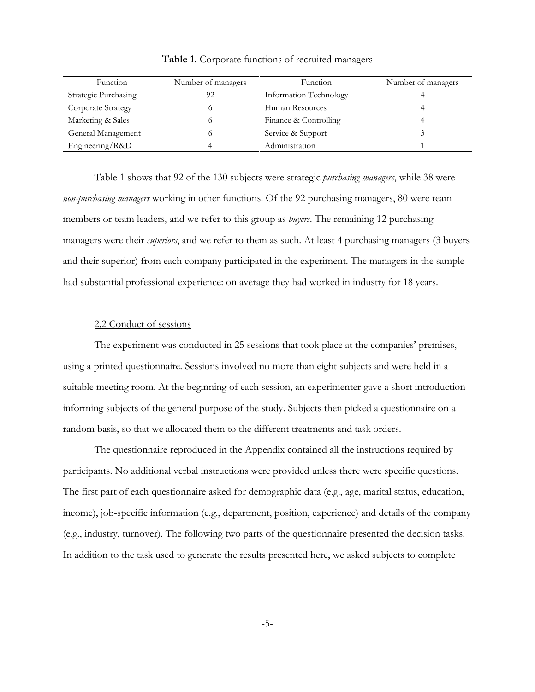| Function             | Number of managers | Function               | Number of managers |
|----------------------|--------------------|------------------------|--------------------|
| Strategic Purchasing | 92                 | Information Technology |                    |
| Corporate Strategy   |                    | Human Resources        |                    |
| Marketing & Sales    |                    | Finance & Controlling  |                    |
| General Management   |                    | Service & Support      |                    |
| Engineering/R&D      |                    | Administration         |                    |

**Table 1.** Corporate functions of recruited managers

Table 1 shows that 92 of the 130 subjects were strategic *purchasing managers*, while 38 were *non-purchasing managers* working in other functions. Of the 92 purchasing managers, 80 were team members or team leaders, and we refer to this group as *buyers*. The remaining 12 purchasing managers were their *superiors*, and we refer to them as such. At least 4 purchasing managers (3 buyers and their superior) from each company participated in the experiment. The managers in the sample had substantial professional experience: on average they had worked in industry for 18 years.

## 2.2 Conduct of sessions

The experiment was conducted in 25 sessions that took place at the companies' premises, using a printed questionnaire. Sessions involved no more than eight subjects and were held in a suitable meeting room. At the beginning of each session, an experimenter gave a short introduction informing subjects of the general purpose of the study. Subjects then picked a questionnaire on a random basis, so that we allocated them to the different treatments and task orders.

The questionnaire reproduced in the Appendix contained all the instructions required by participants. No additional verbal instructions were provided unless there were specific questions. The first part of each questionnaire asked for demographic data (e.g., age, marital status, education, income), job-specific information (e.g., department, position, experience) and details of the company (e.g., industry, turnover). The following two parts of the questionnaire presented the decision tasks. In addition to the task used to generate the results presented here, we asked subjects to complete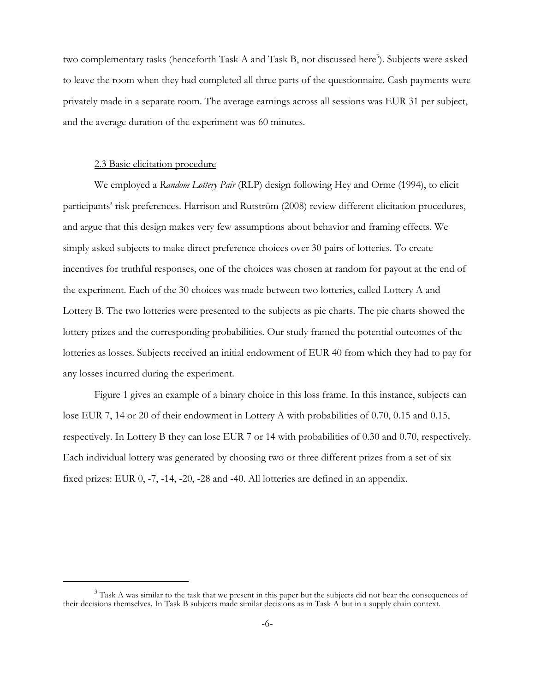two complementary tasks (henceforth Task A and Task B, not discussed here<sup>3</sup>). Subjects were asked to leave the room when they had completed all three parts of the questionnaire. Cash payments were privately made in a separate room. The average earnings across all sessions was EUR 31 per subject, and the average duration of the experiment was 60 minutes.

#### 2.3 Basic elicitation procedure

We employed a *Random Lottery Pair* (RLP) design following Hey and Orme (1994), to elicit participants' risk preferences. Harrison and Rutström (2008) review different elicitation procedures, and argue that this design makes very few assumptions about behavior and framing effects. We simply asked subjects to make direct preference choices over 30 pairs of lotteries. To create incentives for truthful responses, one of the choices was chosen at random for payout at the end of the experiment. Each of the 30 choices was made between two lotteries, called Lottery A and Lottery B. The two lotteries were presented to the subjects as pie charts. The pie charts showed the lottery prizes and the corresponding probabilities. Our study framed the potential outcomes of the lotteries as losses. Subjects received an initial endowment of EUR 40 from which they had to pay for any losses incurred during the experiment.

Figure 1 gives an example of a binary choice in this loss frame. In this instance, subjects can lose EUR 7, 14 or 20 of their endowment in Lottery A with probabilities of 0.70, 0.15 and 0.15, respectively. In Lottery B they can lose EUR 7 or 14 with probabilities of 0.30 and 0.70, respectively. Each individual lottery was generated by choosing two or three different prizes from a set of six fixed prizes: EUR 0, -7, -14, -20, -28 and -40. All lotteries are defined in an appendix.

 $3$  Task A was similar to the task that we present in this paper but the subjects did not bear the consequences of their decisions themselves. In Task B subjects made similar decisions as in Task A but in a supply chain context.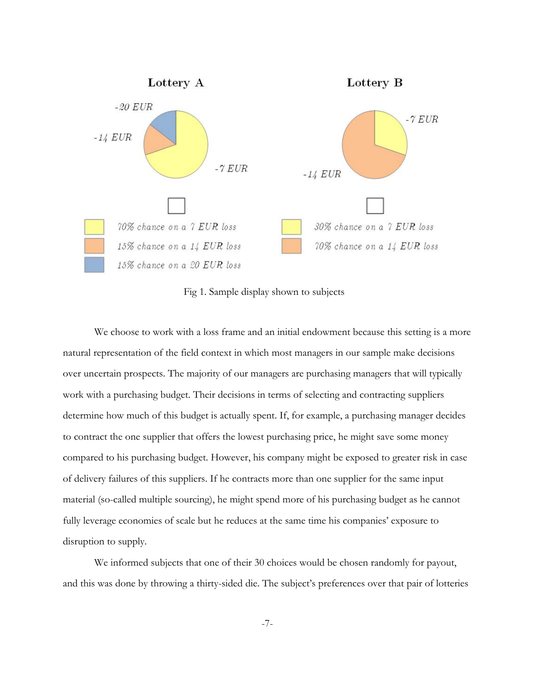

Fig 1. Sample display shown to subjects

We choose to work with a loss frame and an initial endowment because this setting is a more natural representation of the field context in which most managers in our sample make decisions over uncertain prospects. The majority of our managers are purchasing managers that will typically work with a purchasing budget. Their decisions in terms of selecting and contracting suppliers determine how much of this budget is actually spent. If, for example, a purchasing manager decides to contract the one supplier that offers the lowest purchasing price, he might save some money compared to his purchasing budget. However, his company might be exposed to greater risk in case of delivery failures of this suppliers. If he contracts more than one supplier for the same input material (so-called multiple sourcing), he might spend more of his purchasing budget as he cannot fully leverage economies of scale but he reduces at the same time his companies' exposure to disruption to supply.

We informed subjects that one of their 30 choices would be chosen randomly for payout, and this was done by throwing a thirty-sided die. The subject's preferences over that pair of lotteries

-7-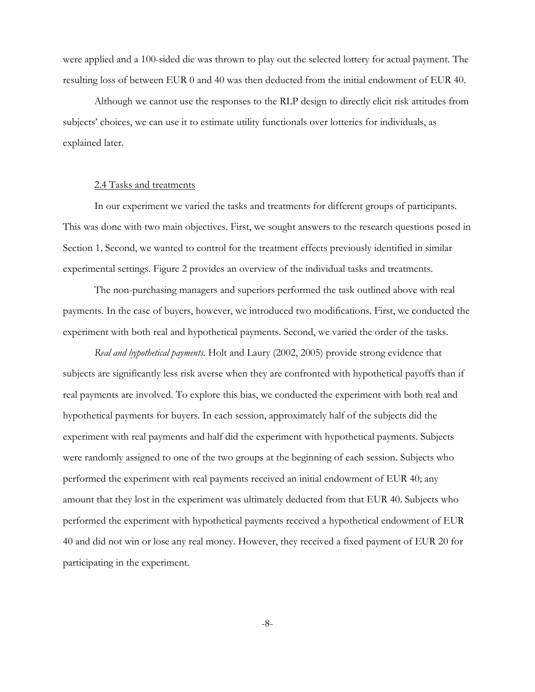were applied and a 100-sided die was thrown to play out the selected lottery for actual payment. The resulting loss of between EUR 0 and 40 was then deducted from the initial endowment of EUR 40.

Although we cannot use the responses to the RLP design to directly elicit risk attitudes from subjects' choices, we can use it to estimate utility functionals over lotteries for individuals, as explained later.

#### 2.4 Tasks and treatments

In our experiment we varied the tasks and treatments for different groups of participants. This was done with two main objectives. First, we sought answers to the research questions posed in Section 1. Second, we wanted to control for the treatment effects previously identified in similar experimental settings. Figure 2 provides an overview of the individual tasks and treatments.

The non-purchasing managers and superiors performed the task outlined above with real payments. In the case of buyers, however, we introduced two modifications. First, we conducted the experiment with both real and hypothetical payments. Second, we varied the order of the tasks.

*Real and hypothetical payments.* Holt and Laury (2002, 2005) provide strong evidence that subjects are significantly less risk averse when they are confronted with hypothetical payoffs than if real payments are involved. To explore this bias, we conducted the experiment with both real and hypothetical payments for buyers. In each session, approximately half of the subjects did the experiment with real payments and half did the experiment with hypothetical payments. Subjects were randomly assigned to one of the two groups at the beginning of each session. Subjects who performed the experiment with real payments received an initial endowment of EUR 40; any amount that they lost in the experiment was ultimately deducted from that EUR 40. Subjects who performed the experiment with hypothetical payments received a hypothetical endowment of EUR 40 and did not win or lose any real money. However, they received a fixed payment of EUR 20 for participating in the experiment.

-8-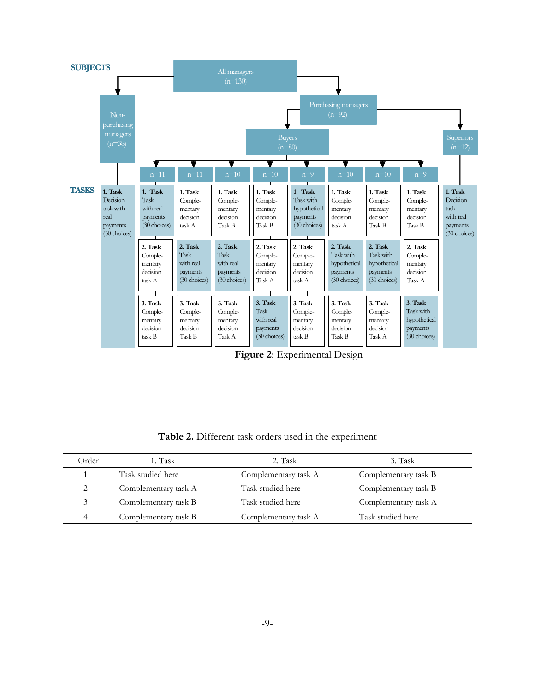

**Figure 2**: Experimental Design

**Table 2.** Different task orders used in the experiment

| Order          | 1. Task              | 2. Task              | 3. Task              |  |
|----------------|----------------------|----------------------|----------------------|--|
|                | Task studied here    | Complementary task A | Complementary task B |  |
| 2              | Complementary task A | Task studied here    | Complementary task B |  |
| 3              | Complementary task B | Task studied here    | Complementary task A |  |
| $\overline{4}$ | Complementary task B | Complementary task A | Task studied here    |  |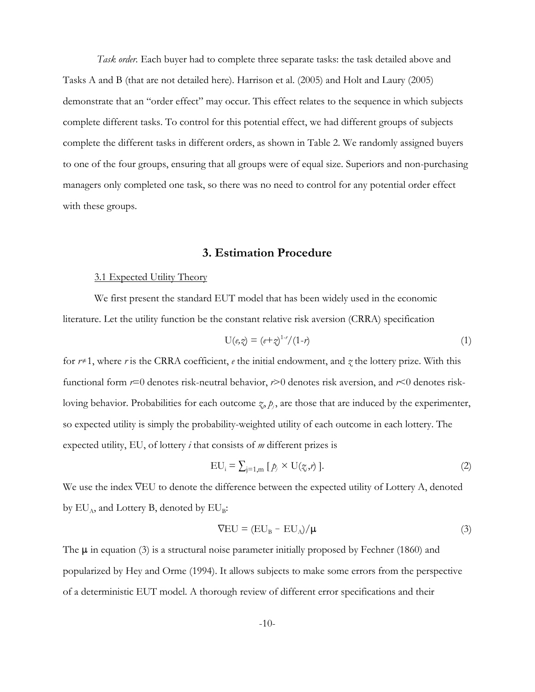*Task order.* Each buyer had to complete three separate tasks: the task detailed above and Tasks A and B (that are not detailed here). Harrison et al. (2005) and Holt and Laury (2005) demonstrate that an "order effect" may occur. This effect relates to the sequence in which subjects complete different tasks. To control for this potential effect, we had different groups of subjects complete the different tasks in different orders, as shown in Table 2. We randomly assigned buyers to one of the four groups, ensuring that all groups were of equal size. Superiors and non-purchasing managers only completed one task, so there was no need to control for any potential order effect with these groups.

## **3. Estimation Procedure**

#### 3.1 Expected Utility Theory

We first present the standard EUT model that has been widely used in the economic literature. Let the utility function be the constant relative risk aversion (CRRA) specification

$$
U(\ell, \hat{\gamma}) = (e + \hat{\gamma})^{1-r} / (1 - r) \tag{1}
$$

for  $r \neq 1$ , where *r* is the CRRA coefficient, *e* the initial endowment, and *z* the lottery prize. With this functional form *r*=0 denotes risk-neutral behavior, *r*>0 denotes risk aversion, and *r*<0 denotes riskloving behavior. Probabilities for each outcome  $\chi$ ,  $p_j$ , are those that are induced by the experimenter, so expected utility is simply the probability-weighted utility of each outcome in each lottery. The expected utility, EU, of lottery *i* that consists of *m* different prizes is

$$
EU_i = \sum_{j=1,m} \left[ \underline{p}_j \times U(\underline{\gamma}_i, r) \right]. \tag{2}
$$

We use the index  $\nabla$ EU to denote the difference between the expected utility of Lottery A, denoted by  $EU_A$ , and Lottery B, denoted by  $EU_B$ :

$$
\nabla \mathbf{E} \mathbf{U} = (\mathbf{E} \mathbf{U}_{\mathbf{B}} - \mathbf{E} \mathbf{U}_{\mathbf{A}}) / \mathbf{\mu} \tag{3}
$$

The  $\mu$  in equation (3) is a structural noise parameter initially proposed by Fechner (1860) and popularized by Hey and Orme (1994). It allows subjects to make some errors from the perspective of a deterministic EUT model. A thorough review of different error specifications and their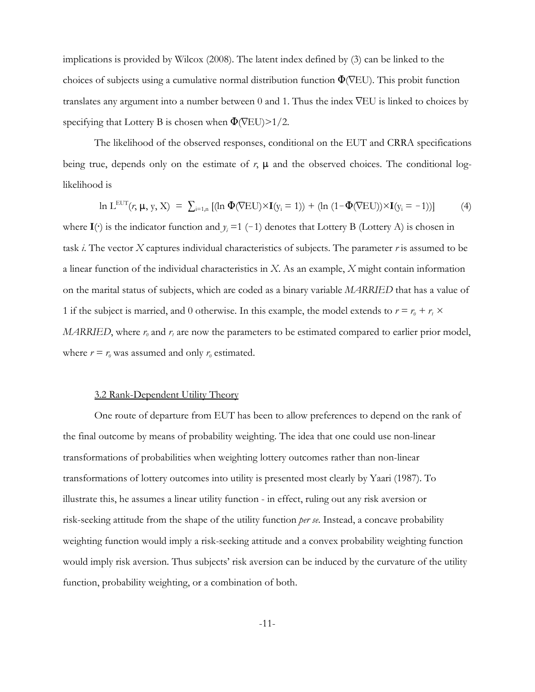implications is provided by Wilcox (2008). The latent index defined by (3) can be linked to the choices of subjects using a cumulative normal distribution function  $\Phi(\nabla EU)$ . This probit function translates any argument into a number between 0 and 1. Thus the index  $\nabla$ EU is linked to choices by specifying that Lottery B is chosen when  $\Phi$ (VEU)>1/2.

The likelihood of the observed responses, conditional on the EUT and CRRA specifications being true, depends only on the estimate of  $r$ ,  $\mu$  and the observed choices. The conditional loglikelihood is

$$
\ln L^{\text{EUT}}(r, \mu, y, X) = \sum_{i=1,n} \left[ (\ln \Phi(\nabla E U) \times \mathbf{I}(y_i = 1)) + (\ln (1 - \Phi(\nabla E U)) \times \mathbf{I}(y_i = -1)) \right] \tag{4}
$$

where  $I(\cdot)$  is the indicator function and  $y_i = 1$  (-1) denotes that Lottery B (Lottery A) is chosen in task *i*. The vector *X* captures individual characteristics of subjects. The parameter *r* is assumed to be a linear function of the individual characteristics in *X*. As an example, *X* might contain information on the marital status of subjects, which are coded as a binary variable *MARRIED* that has a value of 1 if the subject is married, and 0 otherwise. In this example, the model extends to  $r = r_0 + r_1 \times$ *MARRIED*, where  $r_0$  and  $r_1$  are now the parameters to be estimated compared to earlier prior model, where  $r = r_0$  was assumed and only  $r_0$  estimated.

#### 3.2 Rank-Dependent Utility Theory

One route of departure from EUT has been to allow preferences to depend on the rank of the final outcome by means of probability weighting. The idea that one could use non-linear transformations of probabilities when weighting lottery outcomes rather than non-linear transformations of lottery outcomes into utility is presented most clearly by Yaari (1987). To illustrate this, he assumes a linear utility function - in effect, ruling out any risk aversion or risk-seeking attitude from the shape of the utility function *per se*. Instead, a concave probability weighting function would imply a risk-seeking attitude and a convex probability weighting function would imply risk aversion. Thus subjects' risk aversion can be induced by the curvature of the utility function, probability weighting, or a combination of both.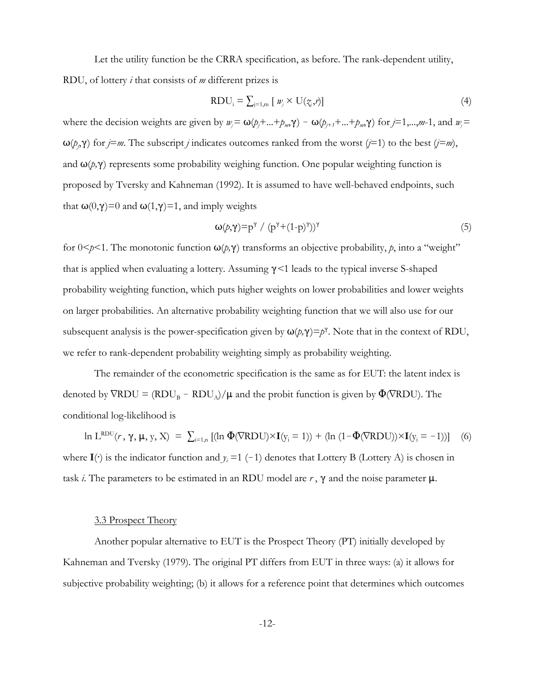Let the utility function be the CRRA specification, as before. The rank-dependent utility,

RDU, of lottery *i* that consists of *m* different prizes is

$$
RDU_i = \sum_{j=1,m} [w_j \times U(\zeta_j, r)] \tag{4}
$$

where the decision weights are given by  $w_j = \omega(p_j + ... + p_m, \gamma) - \omega(p_{j+1} + ... + p_m, \gamma)$  for  $j = 1,...,m-1$ , and  $w_j =$  $\omega(p, \gamma)$  for *j*=*m*. The subscript *j* indicates outcomes ranked from the worst (*j*=1) to the best (*j*=*m*), and  $\omega(p,\gamma)$  represents some probability weighing function. One popular weighting function is proposed by Tversky and Kahneman (1992). It is assumed to have well-behaved endpoints, such that  $\omega(0,\gamma)=0$  and  $\omega(1,\gamma)=1$ , and imply weights

$$
\omega(p,\gamma) = p^{\gamma} / (p^{\gamma} + (1-p)^{\gamma}))^{\gamma}
$$
 (5)

for  $0 \le p \le 1$ . The monotonic function  $\omega(p, \gamma)$  transforms an objective probability, p, into a "weight" that is applied when evaluating a lottery. Assuming (*<*1 leads to the typical inverse S-shaped probability weighting function, which puts higher weights on lower probabilities and lower weights on larger probabilities. An alternative probability weighting function that we will also use for our subsequent analysis is the power-specification given by  $\omega(p, \gamma) = p^{\gamma}$ . Note that in the context of RDU, we refer to rank-dependent probability weighting simply as probability weighting.

The remainder of the econometric specification is the same as for EUT: the latent index is denoted by  $\nabla RDU = (RDU_B - RDU_A)/\mu$  and the probit function is given by  $\Phi(\nabla RDU)$ . The conditional log-likelihood is

ln L<sup>RDU</sup> $(r, \gamma, \mu, y, X) = \sum_{i=1,n} [(\ln \Phi(\nabla RDU) \times I(y_i = 1)) + (\ln (1 - \Phi(\nabla RDU)) \times I(y_i = -1))]$  (6) where  $I(\cdot)$  is the indicator function and  $y_i = 1$  (-1) denotes that Lottery B (Lottery A) is chosen in task *i*. The parameters to be estimated in an RDU model are  $r$ ,  $\gamma$  and the noise parameter  $\mu$ .

#### 3.3 Prospect Theory

Another popular alternative to EUT is the Prospect Theory (PT) initially developed by Kahneman and Tversky (1979). The original PT differs from EUT in three ways: (a) it allows for subjective probability weighting; (b) it allows for a reference point that determines which outcomes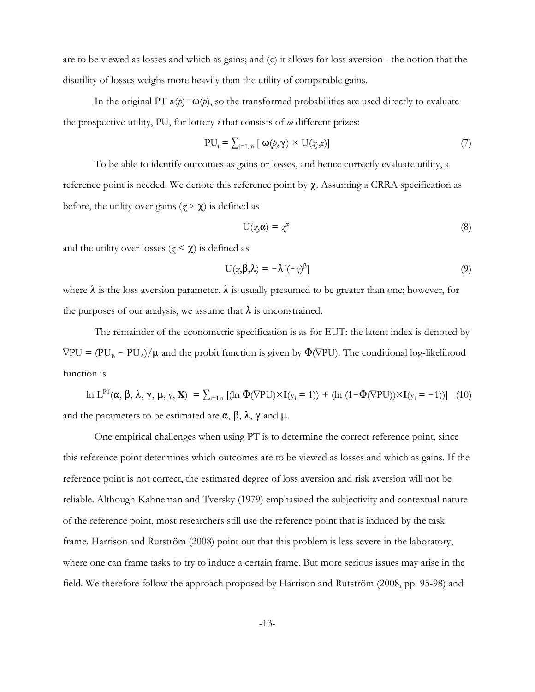are to be viewed as losses and which as gains; and (c) it allows for loss aversion - the notion that the disutility of losses weighs more heavily than the utility of comparable gains.

In the original PT  $w(p) = \omega(p)$ , so the transformed probabilities are used directly to evaluate the prospective utility, PU, for lottery *i* that consists of *m* different prizes:

$$
PU_{i} = \sum_{j=1,m} [\omega(p_{j}, \gamma) \times U(\zeta_{j}, r)] \tag{7}
$$

To be able to identify outcomes as gains or losses, and hence correctly evaluate utility, a reference point is needed. We denote this reference point by  $\chi$ . Assuming a CRRA specification as before, the utility over gains ( $\zeta \ge \chi$ ) is defined as

$$
U(\mathcal{Z}\alpha) = \mathcal{Z}^{\alpha} \tag{8}
$$

and the utility over losses ( $z < \chi$ ) is defined as

$$
U(\mathbf{x},\boldsymbol{\beta},\boldsymbol{\lambda}) = -\boldsymbol{\lambda}[(-\mathbf{x})^{\beta}]
$$
\n(9)

where  $\lambda$  is the loss aversion parameter.  $\lambda$  is usually presumed to be greater than one; however, for the purposes of our analysis, we assume that  $\lambda$  is unconstrained.

The remainder of the econometric specification is as for EUT: the latent index is denoted by  $\nabla PU = (PU_B - PU_A)/\mu$  and the probit function is given by  $\Phi(\nabla PU)$ . The conditional log-likelihood function is

ln L<sup>PT</sup>( $\alpha$ ,  $\beta$ ,  $\lambda$ ,  $\gamma$ ,  $\mu$ ,  $y$ ,  $\mathbf{X}$ ) =  $\sum_{i=1,n}$  [(ln  $\Phi(\nabla \text{PU}) \times \mathbf{I}(y_i = 1)$ ) + (ln  $(1 - \Phi(\nabla \text{PU})) \times \mathbf{I}(y_i = -1)$ )] (10) and the parameters to be estimated are  $\alpha$ ,  $\beta$ ,  $\lambda$ ,  $\gamma$  and  $\mu$ .

One empirical challenges when using PT is to determine the correct reference point, since this reference point determines which outcomes are to be viewed as losses and which as gains. If the reference point is not correct, the estimated degree of loss aversion and risk aversion will not be reliable. Although Kahneman and Tversky (1979) emphasized the subjectivity and contextual nature of the reference point, most researchers still use the reference point that is induced by the task frame. Harrison and Rutström (2008) point out that this problem is less severe in the laboratory, where one can frame tasks to try to induce a certain frame. But more serious issues may arise in the field. We therefore follow the approach proposed by Harrison and Rutström (2008, pp. 95-98) and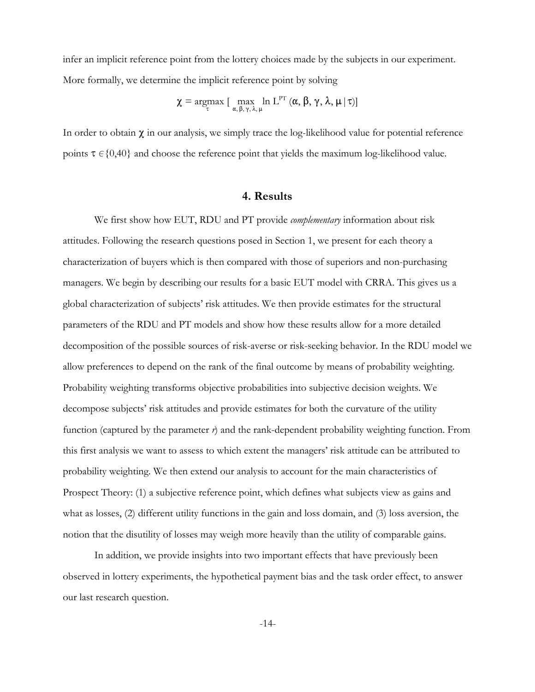infer an implicit reference point from the lottery choices made by the subjects in our experiment. More formally, we determine the implicit reference point by solving

$$
\chi = \underset{\tau}{\operatorname{argmax}} \left[ \max_{\alpha, \beta, \gamma, \lambda, \mu} \ln L^{\mathrm{PT}}\left(\alpha, \beta, \gamma, \lambda, \mu \,|\, \tau\right) \right]
$$

In order to obtain  $\chi$  in our analysis, we simply trace the log-likelihood value for potential reference points  $\tau \in \{0,40\}$  and choose the reference point that yields the maximum log-likelihood value.

#### **4. Results**

We first show how EUT, RDU and PT provide *complementary* information about risk attitudes. Following the research questions posed in Section 1, we present for each theory a characterization of buyers which is then compared with those of superiors and non-purchasing managers. We begin by describing our results for a basic EUT model with CRRA. This gives us a global characterization of subjects' risk attitudes. We then provide estimates for the structural parameters of the RDU and PT models and show how these results allow for a more detailed decomposition of the possible sources of risk-averse or risk-seeking behavior. In the RDU model we allow preferences to depend on the rank of the final outcome by means of probability weighting. Probability weighting transforms objective probabilities into subjective decision weights. We decompose subjects' risk attitudes and provide estimates for both the curvature of the utility function (captured by the parameter *r*) and the rank-dependent probability weighting function. From this first analysis we want to assess to which extent the managers' risk attitude can be attributed to probability weighting. We then extend our analysis to account for the main characteristics of Prospect Theory: (1) a subjective reference point, which defines what subjects view as gains and what as losses, (2) different utility functions in the gain and loss domain, and (3) loss aversion, the notion that the disutility of losses may weigh more heavily than the utility of comparable gains.

In addition, we provide insights into two important effects that have previously been observed in lottery experiments, the hypothetical payment bias and the task order effect, to answer our last research question.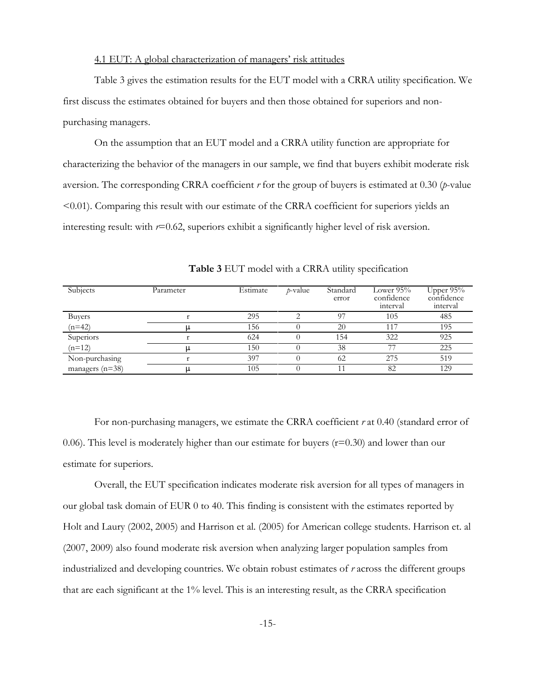## 4.1 EUT: A global characterization of managers' risk attitudes

Table 3 gives the estimation results for the EUT model with a CRRA utility specification. We first discuss the estimates obtained for buyers and then those obtained for superiors and nonpurchasing managers.

On the assumption that an EUT model and a CRRA utility function are appropriate for characterizing the behavior of the managers in our sample, we find that buyers exhibit moderate risk aversion. The corresponding CRRA coefficient *r* for the group of buyers is estimated at 0.30 (*p*-value <0.01). Comparing this result with our estimate of the CRRA coefficient for superiors yields an interesting result: with *r*=0.62, superiors exhibit a significantly higher level of risk aversion.

| Subjects          | Parameter | Estimate | <i>p</i> -value | Standard<br>error | Lower $95\%$<br>confidence<br>interval | Upper 95%<br>confidence<br>interval |
|-------------------|-----------|----------|-----------------|-------------------|----------------------------------------|-------------------------------------|
| <b>Buyers</b>     |           | 295      |                 | 97                | 105                                    | 485                                 |
| $(n=42)$          |           | 156      |                 | 20                | 117                                    | 195                                 |
| Superiors         |           | 624      |                 | 154               | 322                                    | 925                                 |
| $(n=12)$          |           | 150      |                 | 38                | 77                                     | 225                                 |
| Non-purchasing    |           | 397      |                 | 62                | 275                                    | 519                                 |
| managers $(n=38)$ |           | 105      |                 |                   | 82                                     | 129                                 |

**Table 3** EUT model with a CRRA utility specification

For non-purchasing managers, we estimate the CRRA coefficient *r* at 0.40 (standard error of 0.06). This level is moderately higher than our estimate for buyers  $(r=0.30)$  and lower than our estimate for superiors.

Overall, the EUT specification indicates moderate risk aversion for all types of managers in our global task domain of EUR 0 to 40. This finding is consistent with the estimates reported by Holt and Laury (2002, 2005) and Harrison et al. (2005) for American college students. Harrison et. al (2007, 2009) also found moderate risk aversion when analyzing larger population samples from industrialized and developing countries. We obtain robust estimates of *r* across the different groups that are each significant at the 1% level. This is an interesting result, as the CRRA specification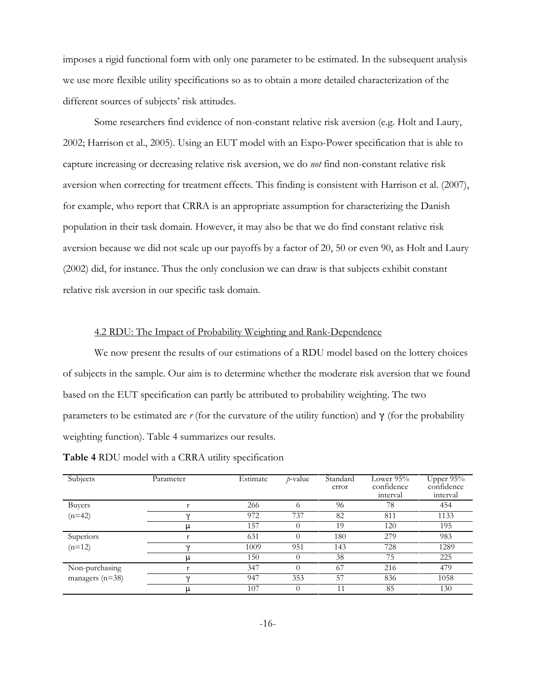imposes a rigid functional form with only one parameter to be estimated. In the subsequent analysis we use more flexible utility specifications so as to obtain a more detailed characterization of the different sources of subjects' risk attitudes.

Some researchers find evidence of non-constant relative risk aversion (e.g. Holt and Laury, 2002; Harrison et al., 2005). Using an EUT model with an Expo-Power specification that is able to capture increasing or decreasing relative risk aversion, we do *not* find non-constant relative risk aversion when correcting for treatment effects. This finding is consistent with Harrison et al. (2007), for example, who report that CRRA is an appropriate assumption for characterizing the Danish population in their task domain. However, it may also be that we do find constant relative risk aversion because we did not scale up our payoffs by a factor of 20, 50 or even 90, as Holt and Laury (2002) did, for instance. Thus the only conclusion we can draw is that subjects exhibit constant relative risk aversion in our specific task domain.

#### 4.2 RDU: The Impact of Probability Weighting and Rank-Dependence

We now present the results of our estimations of a RDU model based on the lottery choices of subjects in the sample. Our aim is to determine whether the moderate risk aversion that we found based on the EUT specification can partly be attributed to probability weighting. The two parameters to be estimated are  $r$  (for the curvature of the utility function) and  $\gamma$  (for the probability weighting function). Table 4 summarizes our results.

| Subjects        | Parameter | Estimate | <i>p</i> -value | Standard<br>error | Lower $95%$<br>confidence<br>interval | Upper 95%<br>confidence<br>interval |
|-----------------|-----------|----------|-----------------|-------------------|---------------------------------------|-------------------------------------|
| <b>Buyers</b>   |           | 266      |                 | 96                | 78                                    | 454                                 |
| $(n=42)$        | $\gamma$  | 972      | 737             | 82                | 811                                   | 1133                                |
|                 |           | 157      |                 | 19                | 120                                   | 195                                 |
| Superiors       |           | 631      |                 | 180               | 279                                   | 983                                 |
| $(n=12)$        | $\gamma$  | 1009     | 951             | 143               | 728                                   | 1289                                |
|                 |           | 150      |                 | 38                | 75                                    | 225                                 |
| Non-purchasing  |           | 347      |                 | 67                | 216                                   | 479                                 |
| managers (n=38) | $\gamma$  | 947      | 353             | 57                | 836                                   | 1058                                |
|                 | μ         | 107      |                 | 11                | 85                                    | 130                                 |

**Table 4** RDU model with a CRRA utility specification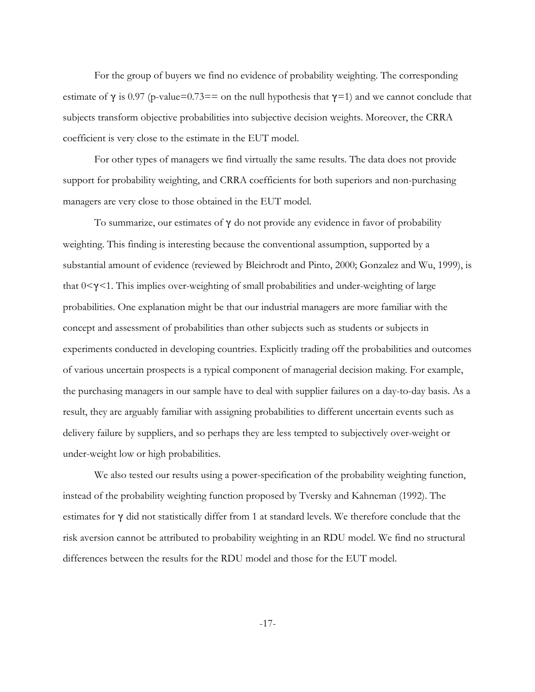For the group of buyers we find no evidence of probability weighting. The corresponding estimate of  $\gamma$  is 0.97 (p-value=0.73== on the null hypothesis that  $\gamma$ =1) and we cannot conclude that subjects transform objective probabilities into subjective decision weights. Moreover, the CRRA coefficient is very close to the estimate in the EUT model.

For other types of managers we find virtually the same results. The data does not provide support for probability weighting, and CRRA coefficients for both superiors and non-purchasing managers are very close to those obtained in the EUT model.

To summarize, our estimates of  $\gamma$  do not provide any evidence in favor of probability weighting. This finding is interesting because the conventional assumption, supported by a substantial amount of evidence (reviewed by Bleichrodt and Pinto, 2000; Gonzalez and Wu, 1999), is that  $0<\gamma<1$ . This implies over-weighting of small probabilities and under-weighting of large probabilities. One explanation might be that our industrial managers are more familiar with the concept and assessment of probabilities than other subjects such as students or subjects in experiments conducted in developing countries. Explicitly trading off the probabilities and outcomes of various uncertain prospects is a typical component of managerial decision making. For example, the purchasing managers in our sample have to deal with supplier failures on a day-to-day basis. As a result, they are arguably familiar with assigning probabilities to different uncertain events such as delivery failure by suppliers, and so perhaps they are less tempted to subjectively over-weight or under-weight low or high probabilities.

We also tested our results using a power-specification of the probability weighting function, instead of the probability weighting function proposed by Tversky and Kahneman (1992). The estimates for  $\gamma$  did not statistically differ from 1 at standard levels. We therefore conclude that the risk aversion cannot be attributed to probability weighting in an RDU model. We find no structural differences between the results for the RDU model and those for the EUT model.

-17-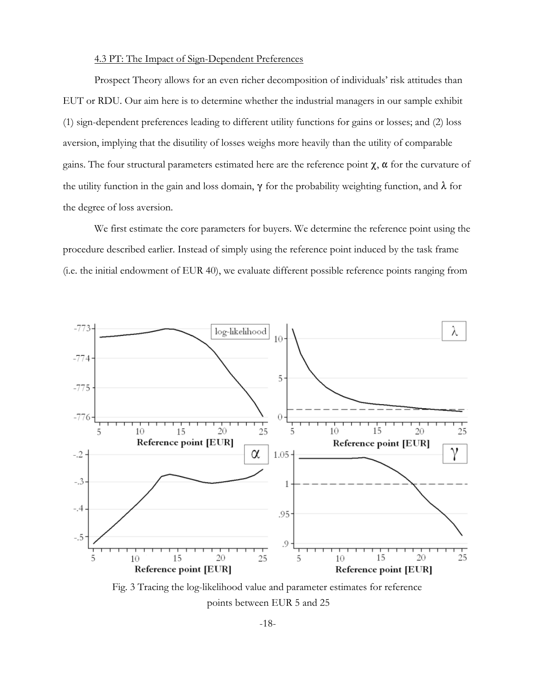## 4.3 PT: The Impact of Sign-Dependent Preferences

Prospect Theory allows for an even richer decomposition of individuals' risk attitudes than EUT or RDU. Our aim here is to determine whether the industrial managers in our sample exhibit (1) sign-dependent preferences leading to different utility functions for gains or losses; and (2) loss aversion, implying that the disutility of losses weighs more heavily than the utility of comparable gains. The four structural parameters estimated here are the reference point  $\chi$ ,  $\alpha$  for the curvature of the utility function in the gain and loss domain,  $\gamma$  for the probability weighting function, and  $\lambda$  for the degree of loss aversion.

We first estimate the core parameters for buyers. We determine the reference point using the procedure described earlier. Instead of simply using the reference point induced by the task frame (i.e. the initial endowment of EUR 40), we evaluate different possible reference points ranging from



Fig. 3 Tracing the log-likelihood value and parameter estimates for reference points between EUR 5 and 25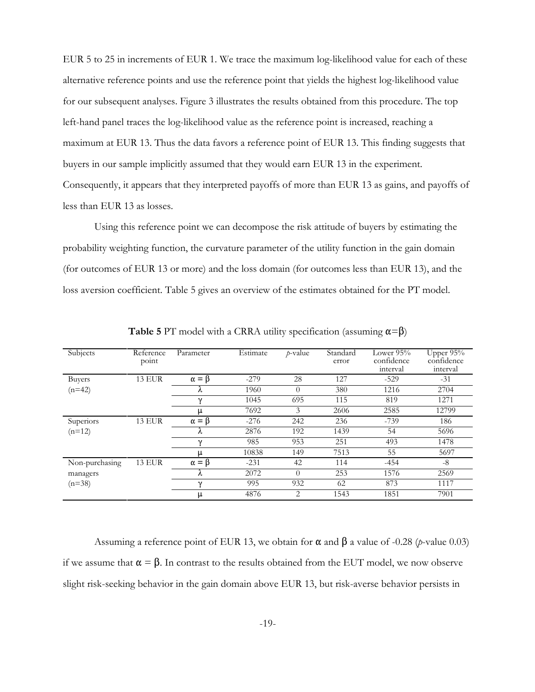EUR 5 to 25 in increments of EUR 1. We trace the maximum log-likelihood value for each of these alternative reference points and use the reference point that yields the highest log-likelihood value for our subsequent analyses. Figure 3 illustrates the results obtained from this procedure. The top left-hand panel traces the log-likelihood value as the reference point is increased, reaching a maximum at EUR 13. Thus the data favors a reference point of EUR 13. This finding suggests that buyers in our sample implicitly assumed that they would earn EUR 13 in the experiment. Consequently, it appears that they interpreted payoffs of more than EUR 13 as gains, and payoffs of less than EUR 13 as losses.

Using this reference point we can decompose the risk attitude of buyers by estimating the probability weighting function, the curvature parameter of the utility function in the gain domain (for outcomes of EUR 13 or more) and the loss domain (for outcomes less than EUR 13), and the loss aversion coefficient. Table 5 gives an overview of the estimates obtained for the PT model.

| Subjects       | Reference     | Parameter        | Estimate | $p$ -value | Standard | Lower $95%$ | Upper $95\%$ |
|----------------|---------------|------------------|----------|------------|----------|-------------|--------------|
|                | point         |                  |          |            | error    | confidence  | confidence   |
|                |               |                  |          |            |          | interval    | interval     |
| Buyers         | <b>13 EUR</b> | $\alpha = \beta$ | $-279$   | 28         | 127      | $-529$      | $-31$        |
| $(n=42)$       |               | Λ                | 1960     | $\Omega$   | 380      | 1216        | 2704         |
|                |               | $\gamma$         | 1045     | 695        | 115      | 819         | 1271         |
|                |               | μ                | 7692     | 3          | 2606     | 2585        | 12799        |
| Superiors      | <b>13 EUR</b> | $\alpha = \beta$ | $-276$   | 242        | 236      | $-739$      | 186          |
| $(n=12)$       |               | Λ                | 2876     | 192        | 1439     | 54          | 5696         |
|                |               | $\gamma$         | 985      | 953        | 251      | 493         | 1478         |
|                |               | μ                | 10838    | 149        | 7513     | 55          | 5697         |
| Non-purchasing | <b>13 EUR</b> | $\alpha = \beta$ | $-231$   | 42         | 114      | $-454$      | $-8$         |
| managers       |               | Λ                | 2072     | $\Omega$   | 253      | 1576        | 2569         |
| $(n=38)$       |               | $\gamma$         | 995      | 932        | 62       | 873         | 1117         |
|                |               | μ                | 4876     | 2          | 1543     | 1851        | 7901         |

**Table 5** PT model with a CRRA utility specification (assuming  $\alpha = \beta$ )

Assuming a reference point of EUR 13, we obtain for  $\alpha$  and  $\beta$  a value of -0.28 (*p*-value 0.03) if we assume that  $\alpha = \beta$ . In contrast to the results obtained from the EUT model, we now observe slight risk-seeking behavior in the gain domain above EUR 13, but risk-averse behavior persists in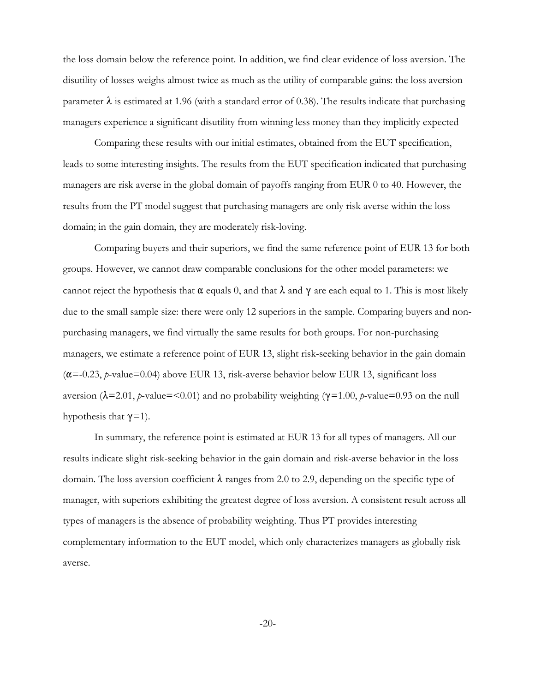the loss domain below the reference point. In addition, we find clear evidence of loss aversion. The disutility of losses weighs almost twice as much as the utility of comparable gains: the loss aversion parameter  $\lambda$  is estimated at 1.96 (with a standard error of 0.38). The results indicate that purchasing managers experience a significant disutility from winning less money than they implicitly expected

Comparing these results with our initial estimates, obtained from the EUT specification, leads to some interesting insights. The results from the EUT specification indicated that purchasing managers are risk averse in the global domain of payoffs ranging from EUR 0 to 40. However, the results from the PT model suggest that purchasing managers are only risk averse within the loss domain; in the gain domain, they are moderately risk-loving.

Comparing buyers and their superiors, we find the same reference point of EUR 13 for both groups. However, we cannot draw comparable conclusions for the other model parameters: we cannot reject the hypothesis that  $\alpha$  equals 0, and that  $\lambda$  and  $\gamma$  are each equal to 1. This is most likely due to the small sample size: there were only 12 superiors in the sample. Comparing buyers and nonpurchasing managers, we find virtually the same results for both groups. For non-purchasing managers, we estimate a reference point of EUR 13, slight risk-seeking behavior in the gain domain ( $\alpha$ =-0.23, *p*-value=0.04) above EUR 13, risk-averse behavior below EUR 13, significant loss aversion ( $\lambda$ =2.01, *p*-value=<0.01) and no probability weighting ( $\gamma$ =1.00, *p*-value=0.93 on the null hypothesis that  $\gamma=1$ ).

In summary, the reference point is estimated at EUR 13 for all types of managers. All our results indicate slight risk-seeking behavior in the gain domain and risk-averse behavior in the loss domain. The loss aversion coefficient  $\lambda$  ranges from 2.0 to 2.9, depending on the specific type of manager, with superiors exhibiting the greatest degree of loss aversion. A consistent result across all types of managers is the absence of probability weighting. Thus PT provides interesting complementary information to the EUT model, which only characterizes managers as globally risk averse.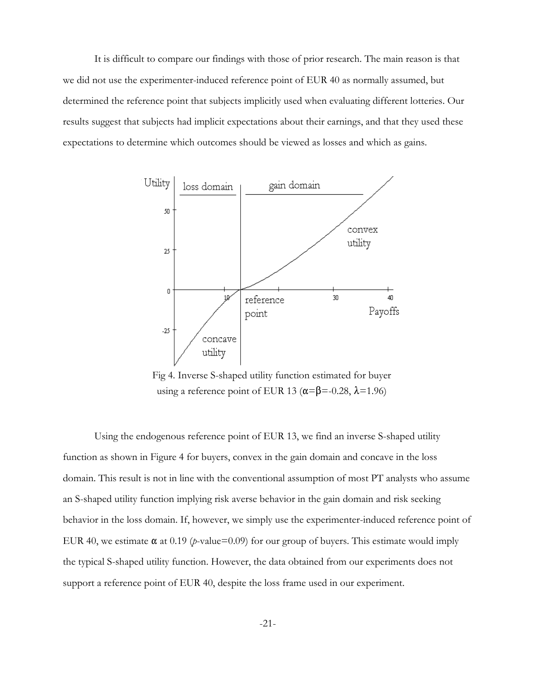It is difficult to compare our findings with those of prior research. The main reason is that we did not use the experimenter-induced reference point of EUR 40 as normally assumed, but determined the reference point that subjects implicitly used when evaluating different lotteries. Our results suggest that subjects had implicit expectations about their earnings, and that they used these expectations to determine which outcomes should be viewed as losses and which as gains.



Fig 4. Inverse S-shaped utility function estimated for buyer using a reference point of EUR 13 ( $\alpha = \beta = -0.28$ ,  $\lambda = 1.96$ )

Using the endogenous reference point of EUR 13, we find an inverse S-shaped utility function as shown in Figure 4 for buyers, convex in the gain domain and concave in the loss domain. This result is not in line with the conventional assumption of most PT analysts who assume an S-shaped utility function implying risk averse behavior in the gain domain and risk seeking behavior in the loss domain. If, however, we simply use the experimenter-induced reference point of EUR 40, we estimate  $\alpha$  at 0.19 (*p*-value=0.09) for our group of buyers. This estimate would imply the typical S-shaped utility function. However, the data obtained from our experiments does not support a reference point of EUR 40, despite the loss frame used in our experiment.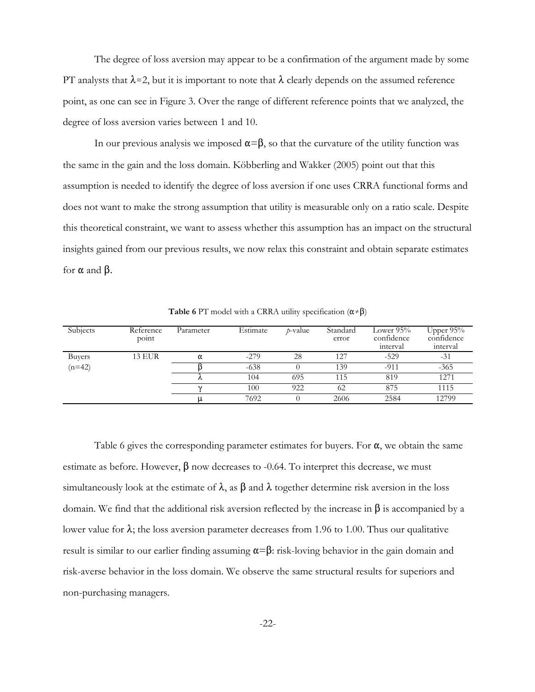The degree of loss aversion may appear to be a confirmation of the argument made by some PT analysts that  $\lambda \approx 2$ , but it is important to note that  $\lambda$  clearly depends on the assumed reference point, as one can see in Figure 3. Over the range of different reference points that we analyzed, the degree of loss aversion varies between 1 and 10.

In our previous analysis we imposed  $\alpha = \beta$ , so that the curvature of the utility function was the same in the gain and the loss domain. Köbberling and Wakker (2005) point out that this assumption is needed to identify the degree of loss aversion if one uses CRRA functional forms and does not want to make the strong assumption that utility is measurable only on a ratio scale. Despite this theoretical constraint, we want to assess whether this assumption has an impact on the structural insights gained from our previous results, we now relax this constraint and obtain separate estimates for  $\alpha$  and  $\beta$ .

| Subjects      | Reference<br>point | Parameter | Estimate | $p$ -value | Standard<br>error | Lower $95\%$<br>confidence<br>interval | Upper $95\%$<br>confidence<br>interval |
|---------------|--------------------|-----------|----------|------------|-------------------|----------------------------------------|----------------------------------------|
| <b>Buyers</b> | <b>13 EUR</b>      | α         | $-279$   | 28         | 127               | $-529$                                 | $-31$                                  |
| $(n=42)$      |                    |           | $-638$   |            | 139               | $-911$                                 | $-365$                                 |
|               |                    | $\sim$    | 104      | 695        | 115               | 819                                    | 1271                                   |
|               |                    |           | 100      | 922        | 62                | 875                                    | 1115                                   |
|               |                    |           | 7692     |            | 2606              | 2584                                   | 12799                                  |

**Table 6** PT model with a CRRA utility specification  $(\alpha \neq \beta)$ 

Table 6 gives the corresponding parameter estimates for buyers. For  $\alpha$ , we obtain the same estimate as before. However,  $\beta$  now decreases to -0.64. To interpret this decrease, we must simultaneously look at the estimate of  $\lambda$ , as  $\beta$  and  $\lambda$  together determine risk aversion in the loss domain. We find that the additional risk aversion reflected by the increase in  $\beta$  is accompanied by a lower value for  $\lambda$ ; the loss aversion parameter decreases from 1.96 to 1.00. Thus our qualitative result is similar to our earlier finding assuming  $\alpha = \beta$ : risk-loving behavior in the gain domain and risk-averse behavior in the loss domain. We observe the same structural results for superiors and non-purchasing managers.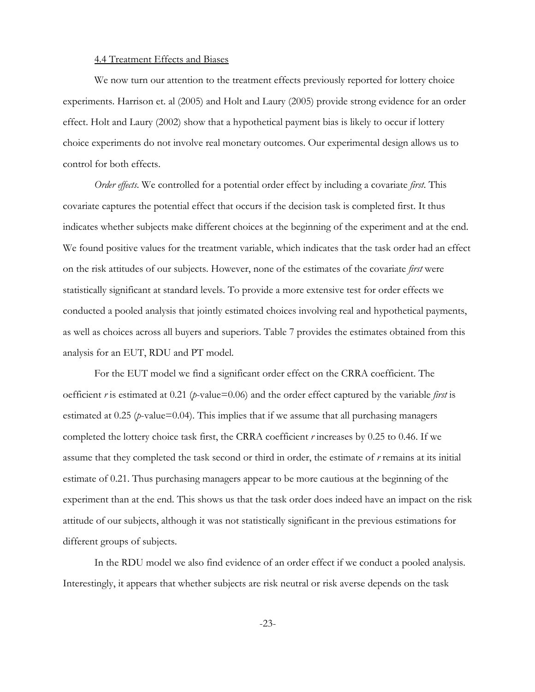#### 4.4 Treatment Effects and Biases

We now turn our attention to the treatment effects previously reported for lottery choice experiments. Harrison et. al (2005) and Holt and Laury (2005) provide strong evidence for an order effect. Holt and Laury (2002) show that a hypothetical payment bias is likely to occur if lottery choice experiments do not involve real monetary outcomes. Our experimental design allows us to control for both effects.

*Order effects*. We controlled for a potential order effect by including a covariate *first*. This covariate captures the potential effect that occurs if the decision task is completed first. It thus indicates whether subjects make different choices at the beginning of the experiment and at the end. We found positive values for the treatment variable, which indicates that the task order had an effect on the risk attitudes of our subjects. However, none of the estimates of the covariate *first* were statistically significant at standard levels. To provide a more extensive test for order effects we conducted a pooled analysis that jointly estimated choices involving real and hypothetical payments, as well as choices across all buyers and superiors. Table 7 provides the estimates obtained from this analysis for an EUT, RDU and PT model.

For the EUT model we find a significant order effect on the CRRA coefficient. The oefficient *r* is estimated at 0.21 (*p*-value=0.06) and the order effect captured by the variable *first* is estimated at  $0.25$  (*p*-value=0.04). This implies that if we assume that all purchasing managers completed the lottery choice task first, the CRRA coefficient *r* increases by 0.25 to 0.46. If we assume that they completed the task second or third in order, the estimate of *r* remains at its initial estimate of 0.21. Thus purchasing managers appear to be more cautious at the beginning of the experiment than at the end. This shows us that the task order does indeed have an impact on the risk attitude of our subjects, although it was not statistically significant in the previous estimations for different groups of subjects.

In the RDU model we also find evidence of an order effect if we conduct a pooled analysis. Interestingly, it appears that whether subjects are risk neutral or risk averse depends on the task

-23-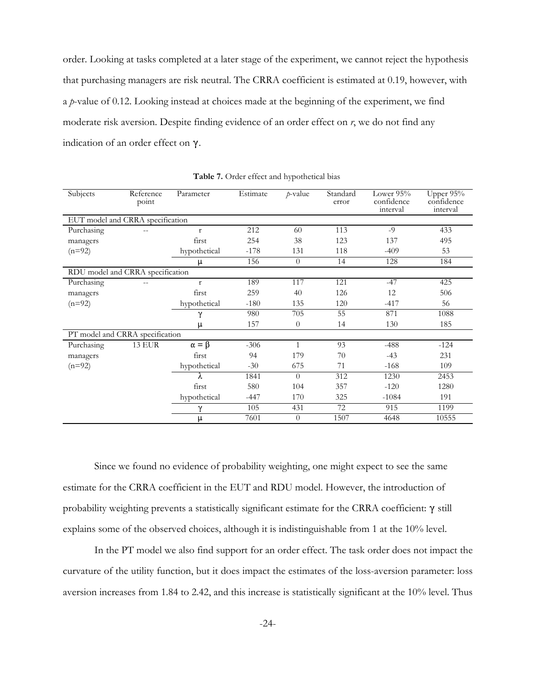order. Looking at tasks completed at a later stage of the experiment, we cannot reject the hypothesis that purchasing managers are risk neutral. The CRRA coefficient is estimated at 0.19, however, with a *p*-value of 0.12. Looking instead at choices made at the beginning of the experiment, we find moderate risk aversion. Despite finding evidence of an order effect on *r*, we do not find any indication of an order effect on  $\gamma$ .

| Subjects   | Reference<br>point               | Parameter        | Estimate | $p$ -value     | Standard<br>error | Lower $95%$<br>confidence<br>interval | Upper 95%<br>confidence<br>interval |
|------------|----------------------------------|------------------|----------|----------------|-------------------|---------------------------------------|-------------------------------------|
|            | EUT model and CRRA specification |                  |          |                |                   |                                       |                                     |
| Purchasing | $- -$                            | $\mathbf{r}$     | 212      | 60             | 113               | $-9$                                  | 433                                 |
| managers   |                                  | first            | 254      | 38             | 123               | 137                                   | 495                                 |
| $(n=92)$   |                                  | hypothetical     | $-178$   | 131            | 118               | $-409$                                | 53                                  |
|            |                                  | μ                | 156      | $\theta$       | 14                | 128                                   | 184                                 |
|            | RDU model and CRRA specification |                  |          |                |                   |                                       |                                     |
| Purchasing | $- -$                            | $\mathbf{r}$     | 189      | 117            | 121               | $-47$                                 | 425                                 |
| managers   |                                  | first            | 259      | 40             | 126               | 12                                    | 506                                 |
| $(n=92)$   |                                  | hypothetical     | $-180$   | 135            | 120               | $-417$                                | 56                                  |
|            |                                  | γ                | 980      | 705            | 55                | 871                                   | 1088                                |
|            |                                  | μ                | 157      | $\theta$       | 14                | 130                                   | 185                                 |
|            | PT model and CRRA specification  |                  |          |                |                   |                                       |                                     |
| Purchasing | <b>13 EUR</b>                    | $\alpha = \beta$ | $-306$   | $\mathbf{1}$   | 93                | $-488$                                | $-124$                              |
| managers   |                                  | first            | 94       | 179            | 70                | $-43$                                 | 231                                 |
| $(n=92)$   |                                  | hypothetical     | $-30$    | 675            | 71                | $-168$                                | 109                                 |
|            |                                  | λ                | 1841     | $\Omega$       | 312               | 1230                                  | 2453                                |
|            |                                  | first            | 580      | 104            | 357               | $-120$                                | 1280                                |
|            |                                  | hypothetical     | $-447$   | 170            | 325               | $-1084$                               | 191                                 |
|            |                                  | γ                | 105      | 431            | 72                | 915                                   | 1199                                |
|            |                                  | μ                | 7601     | $\overline{0}$ | 1507              | 4648                                  | 10555                               |

**Table 7.** Order effect and hypothetical bias

Since we found no evidence of probability weighting, one might expect to see the same estimate for the CRRA coefficient in the EUT and RDU model. However, the introduction of probability weighting prevents a statistically significant estimate for the CRRA coefficient:  $\gamma$  still explains some of the observed choices, although it is indistinguishable from 1 at the 10% level.

In the PT model we also find support for an order effect. The task order does not impact the curvature of the utility function, but it does impact the estimates of the loss-aversion parameter: loss aversion increases from 1.84 to 2.42, and this increase is statistically significant at the 10% level. Thus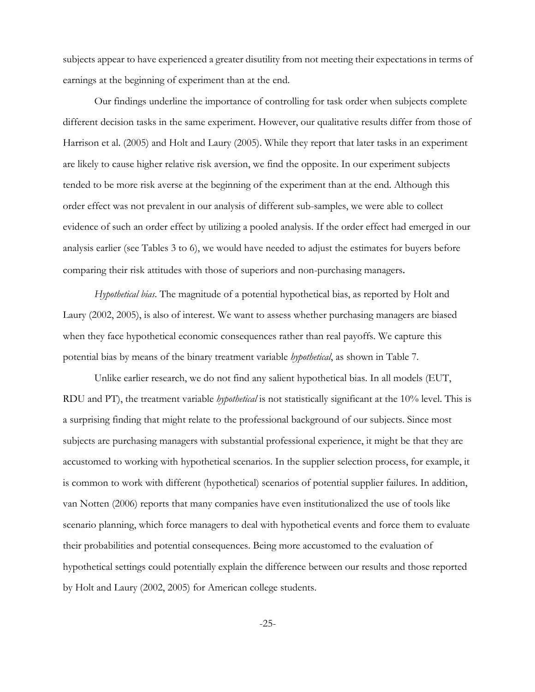subjects appear to have experienced a greater disutility from not meeting their expectations in terms of earnings at the beginning of experiment than at the end.

Our findings underline the importance of controlling for task order when subjects complete different decision tasks in the same experiment. However, our qualitative results differ from those of Harrison et al. (2005) and Holt and Laury (2005). While they report that later tasks in an experiment are likely to cause higher relative risk aversion, we find the opposite. In our experiment subjects tended to be more risk averse at the beginning of the experiment than at the end. Although this order effect was not prevalent in our analysis of different sub-samples, we were able to collect evidence of such an order effect by utilizing a pooled analysis. If the order effect had emerged in our analysis earlier (see Tables 3 to 6), we would have needed to adjust the estimates for buyers before comparing their risk attitudes with those of superiors and non-purchasing managers.

*Hypothetical bias*. The magnitude of a potential hypothetical bias, as reported by Holt and Laury (2002, 2005), is also of interest. We want to assess whether purchasing managers are biased when they face hypothetical economic consequences rather than real payoffs. We capture this potential bias by means of the binary treatment variable *hypothetical*, as shown in Table 7.

Unlike earlier research, we do not find any salient hypothetical bias. In all models (EUT, RDU and PT), the treatment variable *hypothetical* is not statistically significant at the 10% level. This is a surprising finding that might relate to the professional background of our subjects. Since most subjects are purchasing managers with substantial professional experience, it might be that they are accustomed to working with hypothetical scenarios. In the supplier selection process, for example, it is common to work with different (hypothetical) scenarios of potential supplier failures. In addition, van Notten (2006) reports that many companies have even institutionalized the use of tools like scenario planning, which force managers to deal with hypothetical events and force them to evaluate their probabilities and potential consequences. Being more accustomed to the evaluation of hypothetical settings could potentially explain the difference between our results and those reported by Holt and Laury (2002, 2005) for American college students.

-25-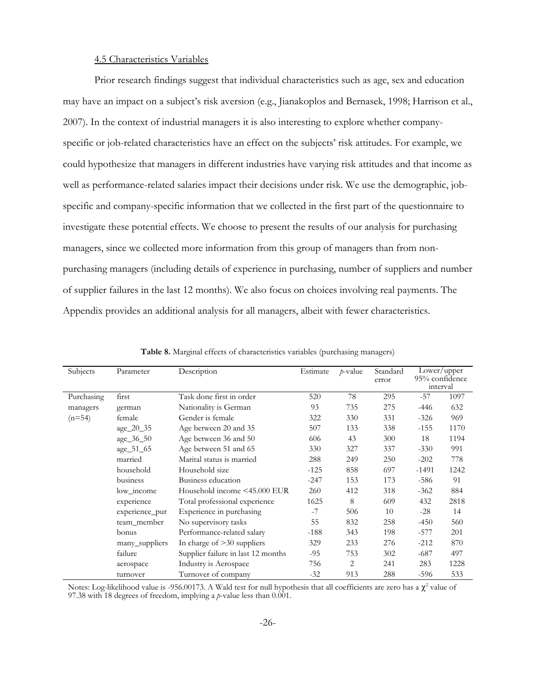#### 4.5 Characteristics Variables

Prior research findings suggest that individual characteristics such as age, sex and education may have an impact on a subject's risk aversion (e.g., Jianakoplos and Bernasek, 1998; Harrison et al., 2007). In the context of industrial managers it is also interesting to explore whether companyspecific or job-related characteristics have an effect on the subjects' risk attitudes. For example, we could hypothesize that managers in different industries have varying risk attitudes and that income as well as performance-related salaries impact their decisions under risk. We use the demographic, jobspecific and company-specific information that we collected in the first part of the questionnaire to investigate these potential effects. We choose to present the results of our analysis for purchasing managers, since we collected more information from this group of managers than from nonpurchasing managers (including details of experience in purchasing, number of suppliers and number of supplier failures in the last 12 months). We also focus on choices involving real payments. The Appendix provides an additional analysis for all managers, albeit with fewer characteristics.

| Subjects   | Parameter      | Description                        | Estimate | $p$ -value | Standard<br>error | interval | Lower/upper<br>95% confidence |
|------------|----------------|------------------------------------|----------|------------|-------------------|----------|-------------------------------|
| Purchasing | first          | Task done first in order           | 520      | 78         | 295               | $-57$    | 1097                          |
| managers   | german         | Nationality is German              | 93       | 735        | 275               | -446     | 632                           |
| $(n=54)$   | female         | Gender is female                   | 322      | 330        | 331               | $-326$   | 969                           |
|            | age_20_35      | Age between 20 and 35              | 507      | 133        | 338               | $-155$   | 1170                          |
|            | age_36_50      | Age between 36 and 50              | 606      | 43         | 300               | 18       | 1194                          |
|            | age_51_65      | Age between 51 and 65              | 330      | 327        | 337               | $-330$   | 991                           |
|            | married        | Marital status is married          | 288      | 249        | 250               | $-202$   | 778                           |
|            | household      | Household size                     | $-125$   | 858        | 697               | $-1491$  | 1242                          |
|            | business       | Business education                 | $-247$   | 153        | 173               | -586     | 91                            |
|            | low income     | Household income <45.000 EUR       | 260      | 412        | 318               | $-362$   | 884                           |
|            | experience     | Total professional experience      | 1625     | 8          | 609               | 432      | 2818                          |
|            | experience_pur | Experience in purchasing           | $-7$     | 506        | 10                | $-28$    | 14                            |
|            | team_member    | No supervisory tasks               | 55       | 832        | 258               | $-450$   | 560                           |
|            | bonus          | Performance-related salary         | $-188$   | 343        | 198               | $-577$   | 201                           |
|            | many_suppliers | In charge of $>30$ suppliers       | 329      | 233        | 276               | $-212$   | 870                           |
|            | failure        | Supplier failure in last 12 months | $-95$    | 753        | 302               | $-687$   | 497                           |
|            | aerospace      | Industry is Aerospace              | 756      | 2          | 241               | 283      | 1228                          |
|            | turnover       | Turnover of company                | $-32$    | 913        | 288               | -596     | 533                           |

**Table 8.** Marginal effects of characteristics variables (purchasing managers)

Notes: Log-likelihood value is -956.00173. A Wald test for null hypothesis that all coefficients are zero has a  $\chi^2$  value of 97.38 with 18 degrees of freedom, implying a *p*-value less than 0.001.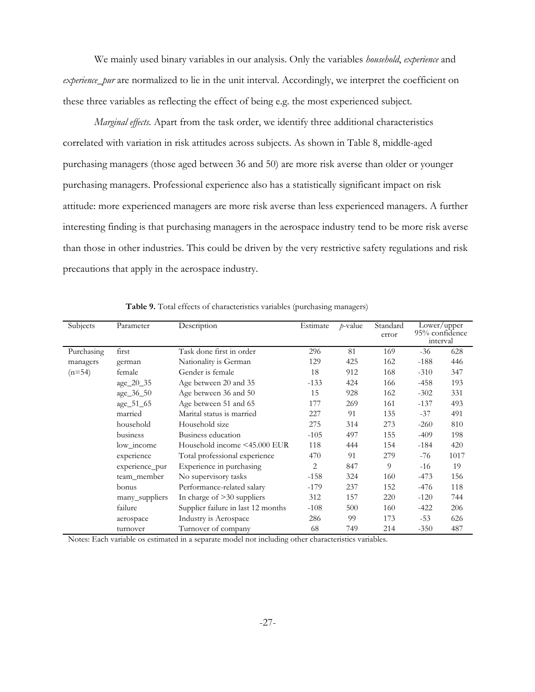We mainly used binary variables in our analysis. Only the variables *household*, *experience* and *experience\_pur* are normalized to lie in the unit interval. Accordingly, we interpret the coefficient on these three variables as reflecting the effect of being e.g. the most experienced subject.

*Marginal effects.* Apart from the task order, we identify three additional characteristics correlated with variation in risk attitudes across subjects. As shown in Table 8, middle-aged purchasing managers (those aged between 36 and 50) are more risk averse than older or younger purchasing managers. Professional experience also has a statistically significant impact on risk attitude: more experienced managers are more risk averse than less experienced managers. A further interesting finding is that purchasing managers in the aerospace industry tend to be more risk averse than those in other industries. This could be driven by the very restrictive safety regulations and risk precautions that apply in the aerospace industry.

| Subjects   | Parameter      | Description                        | Estimate | $p$ -value | Standard<br>error |        | Lower/upper<br>95% confidence<br>interval |
|------------|----------------|------------------------------------|----------|------------|-------------------|--------|-------------------------------------------|
| Purchasing | first          | Task done first in order           | 296      | 81         | 169               | $-36$  | 628                                       |
| managers   | german         | Nationality is German              | 129      | 425        | 162               | $-188$ | 446                                       |
| $(n=54)$   | female         | Gender is female                   | 18       | 912        | 168               | $-310$ | 347                                       |
|            | age_20_35      | Age between 20 and 35              | $-133$   | 424        | 166               | $-458$ | 193                                       |
|            | age_36_50      | Age between 36 and 50              | 15       | 928        | 162               | $-302$ | 331                                       |
|            | age_51_65      | Age between 51 and 65              | 177      | 269        | 161               | $-137$ | 493                                       |
|            | married        | Marital status is married          | 227      | 91         | 135               | $-37$  | 491                                       |
|            | household      | Household size                     | 275      | 314        | 273               | $-260$ | 810                                       |
|            | business       | Business education                 | $-105$   | 497        | 155               | $-409$ | 198                                       |
|            | low income     | Household income <45.000 EUR       | 118      | 444        | 154               | $-184$ | 420                                       |
|            | experience     | Total professional experience      | 470      | 91         | 279               | -76    | 1017                                      |
|            | experience_pur | Experience in purchasing           | 2        | 847        | 9                 | $-16$  | 19                                        |
|            | team_member    | No supervisory tasks               | $-158$   | 324        | 160               | $-473$ | 156                                       |
|            | bonus          | Performance-related salary         | $-179$   | 237        | 152               | -476   | 118                                       |
|            | many_suppliers | In charge of $>30$ suppliers       | 312      | 157        | 220               | $-120$ | 744                                       |
|            | failure        | Supplier failure in last 12 months | $-108$   | 500        | 160               | $-422$ | 206                                       |
|            | aerospace      | Industry is Aerospace              | 286      | 99         | 173               | $-53$  | 626                                       |
|            | turnover       | Turnover of company                | 68       | 749        | 214               | $-350$ | 487                                       |

**Table 9.** Total effects of characteristics variables (purchasing managers)

Notes: Each variable os estimated in a separate model not including other characteristics variables.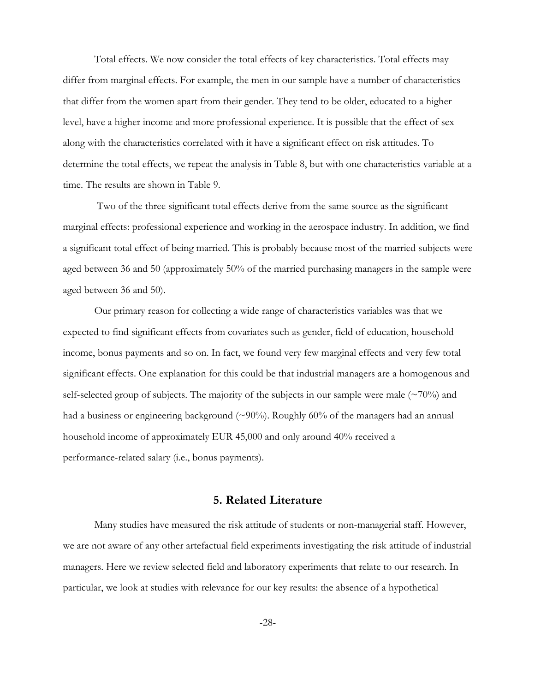Total effects. We now consider the total effects of key characteristics. Total effects may differ from marginal effects. For example, the men in our sample have a number of characteristics that differ from the women apart from their gender. They tend to be older, educated to a higher level, have a higher income and more professional experience. It is possible that the effect of sex along with the characteristics correlated with it have a significant effect on risk attitudes. To determine the total effects, we repeat the analysis in Table 8, but with one characteristics variable at a time. The results are shown in Table 9.

 Two of the three significant total effects derive from the same source as the significant marginal effects: professional experience and working in the aerospace industry. In addition, we find a significant total effect of being married. This is probably because most of the married subjects were aged between 36 and 50 (approximately 50% of the married purchasing managers in the sample were aged between 36 and 50).

Our primary reason for collecting a wide range of characteristics variables was that we expected to find significant effects from covariates such as gender, field of education, household income, bonus payments and so on. In fact, we found very few marginal effects and very few total significant effects. One explanation for this could be that industrial managers are a homogenous and self-selected group of subjects. The majority of the subjects in our sample were male  $(\sim 70\%)$  and had a business or engineering background  $(\sim 90\%)$ . Roughly 60% of the managers had an annual household income of approximately EUR 45,000 and only around 40% received a performance-related salary (i.e., bonus payments).

## **5. Related Literature**

Many studies have measured the risk attitude of students or non-managerial staff. However, we are not aware of any other artefactual field experiments investigating the risk attitude of industrial managers. Here we review selected field and laboratory experiments that relate to our research. In particular, we look at studies with relevance for our key results: the absence of a hypothetical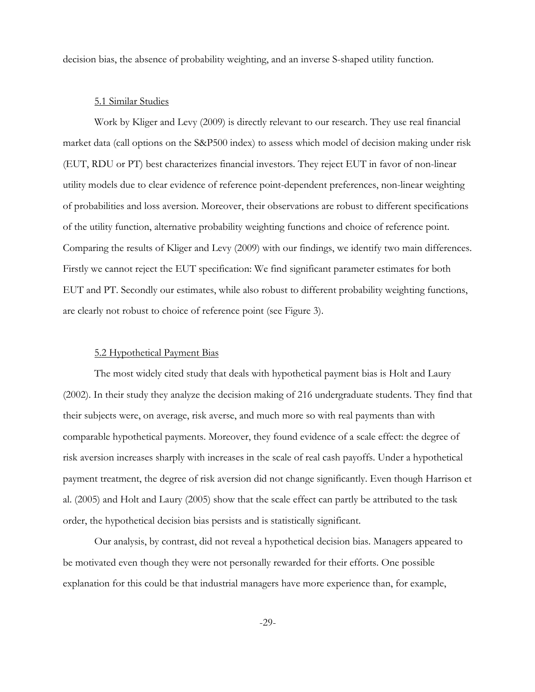decision bias, the absence of probability weighting, and an inverse S-shaped utility function.

#### 5.1 Similar Studies

Work by Kliger and Levy (2009) is directly relevant to our research. They use real financial market data (call options on the S&P500 index) to assess which model of decision making under risk (EUT, RDU or PT) best characterizes financial investors. They reject EUT in favor of non-linear utility models due to clear evidence of reference point-dependent preferences, non-linear weighting of probabilities and loss aversion. Moreover, their observations are robust to different specifications of the utility function, alternative probability weighting functions and choice of reference point. Comparing the results of Kliger and Levy (2009) with our findings, we identify two main differences. Firstly we cannot reject the EUT specification: We find significant parameter estimates for both EUT and PT. Secondly our estimates, while also robust to different probability weighting functions, are clearly not robust to choice of reference point (see Figure 3).

#### 5.2 Hypothetical Payment Bias

The most widely cited study that deals with hypothetical payment bias is Holt and Laury (2002). In their study they analyze the decision making of 216 undergraduate students. They find that their subjects were, on average, risk averse, and much more so with real payments than with comparable hypothetical payments. Moreover, they found evidence of a scale effect: the degree of risk aversion increases sharply with increases in the scale of real cash payoffs. Under a hypothetical payment treatment, the degree of risk aversion did not change significantly. Even though Harrison et al. (2005) and Holt and Laury (2005) show that the scale effect can partly be attributed to the task order, the hypothetical decision bias persists and is statistically significant.

Our analysis, by contrast, did not reveal a hypothetical decision bias. Managers appeared to be motivated even though they were not personally rewarded for their efforts. One possible explanation for this could be that industrial managers have more experience than, for example,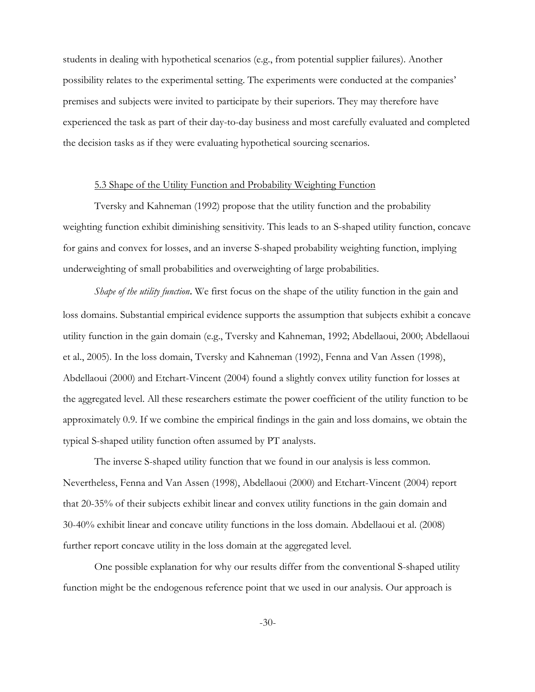students in dealing with hypothetical scenarios (e.g., from potential supplier failures). Another possibility relates to the experimental setting. The experiments were conducted at the companies' premises and subjects were invited to participate by their superiors. They may therefore have experienced the task as part of their day-to-day business and most carefully evaluated and completed the decision tasks as if they were evaluating hypothetical sourcing scenarios.

#### 5.3 Shape of the Utility Function and Probability Weighting Function

Tversky and Kahneman (1992) propose that the utility function and the probability weighting function exhibit diminishing sensitivity. This leads to an S-shaped utility function, concave for gains and convex for losses, and an inverse S-shaped probability weighting function, implying underweighting of small probabilities and overweighting of large probabilities.

*Shape of the utility function*. We first focus on the shape of the utility function in the gain and loss domains. Substantial empirical evidence supports the assumption that subjects exhibit a concave utility function in the gain domain (e.g., Tversky and Kahneman, 1992; Abdellaoui, 2000; Abdellaoui et al., 2005). In the loss domain, Tversky and Kahneman (1992), Fenna and Van Assen (1998), Abdellaoui (2000) and Etchart-Vincent (2004) found a slightly convex utility function for losses at the aggregated level. All these researchers estimate the power coefficient of the utility function to be approximately 0.9. If we combine the empirical findings in the gain and loss domains, we obtain the typical S-shaped utility function often assumed by PT analysts.

The inverse S-shaped utility function that we found in our analysis is less common. Nevertheless, Fenna and Van Assen (1998), Abdellaoui (2000) and Etchart-Vincent (2004) report that 20-35% of their subjects exhibit linear and convex utility functions in the gain domain and 30-40% exhibit linear and concave utility functions in the loss domain. Abdellaoui et al. (2008) further report concave utility in the loss domain at the aggregated level.

One possible explanation for why our results differ from the conventional S-shaped utility function might be the endogenous reference point that we used in our analysis. Our approach is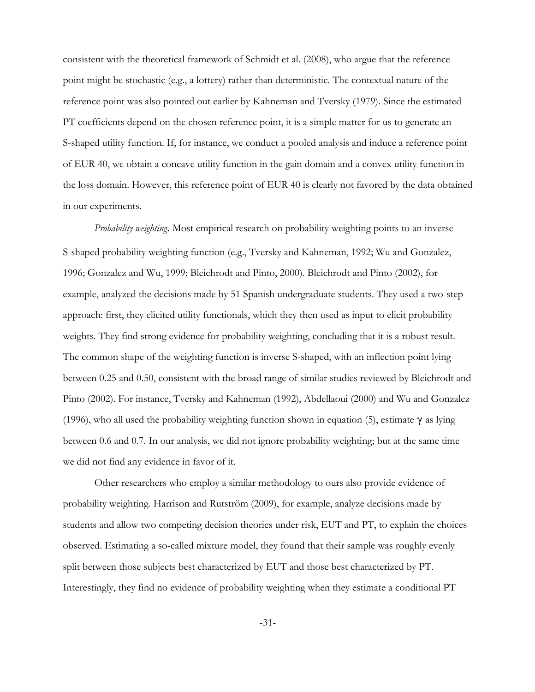consistent with the theoretical framework of Schmidt et al. (2008), who argue that the reference point might be stochastic (e.g., a lottery) rather than deterministic. The contextual nature of the reference point was also pointed out earlier by Kahneman and Tversky (1979). Since the estimated PT coefficients depend on the chosen reference point, it is a simple matter for us to generate an S-shaped utility function. If, for instance, we conduct a pooled analysis and induce a reference point of EUR 40, we obtain a concave utility function in the gain domain and a convex utility function in the loss domain. However, this reference point of EUR 40 is clearly not favored by the data obtained in our experiments.

*Probability weighting*. Most empirical research on probability weighting points to an inverse S-shaped probability weighting function (e.g., Tversky and Kahneman, 1992; Wu and Gonzalez, 1996; Gonzalez and Wu, 1999; Bleichrodt and Pinto, 2000). Bleichrodt and Pinto (2002), for example, analyzed the decisions made by 51 Spanish undergraduate students. They used a two-step approach: first, they elicited utility functionals, which they then used as input to elicit probability weights. They find strong evidence for probability weighting, concluding that it is a robust result. The common shape of the weighting function is inverse S-shaped, with an inflection point lying between 0.25 and 0.50, consistent with the broad range of similar studies reviewed by Bleichrodt and Pinto (2002). For instance, Tversky and Kahneman (1992), Abdellaoui (2000) and Wu and Gonzalez (1996), who all used the probability weighting function shown in equation (5), estimate  $\gamma$  as lying between 0.6 and 0.7. In our analysis, we did not ignore probability weighting; but at the same time we did not find any evidence in favor of it.

Other researchers who employ a similar methodology to ours also provide evidence of probability weighting. Harrison and Rutström (2009), for example, analyze decisions made by students and allow two competing decision theories under risk, EUT and PT, to explain the choices observed. Estimating a so-called mixture model, they found that their sample was roughly evenly split between those subjects best characterized by EUT and those best characterized by PT. Interestingly, they find no evidence of probability weighting when they estimate a conditional PT

-31-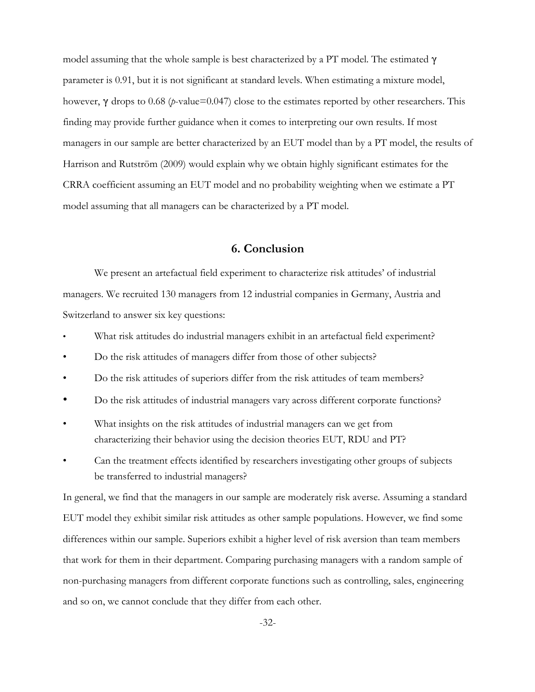model assuming that the whole sample is best characterized by a PT model. The estimated  $\gamma$ parameter is 0.91, but it is not significant at standard levels. When estimating a mixture model, however, γ drops to 0.68 (*p*-value=0.047) close to the estimates reported by other researchers. This finding may provide further guidance when it comes to interpreting our own results. If most managers in our sample are better characterized by an EUT model than by a PT model, the results of Harrison and Rutström (2009) would explain why we obtain highly significant estimates for the CRRA coefficient assuming an EUT model and no probability weighting when we estimate a PT model assuming that all managers can be characterized by a PT model.

## **6. Conclusion**

We present an artefactual field experiment to characterize risk attitudes' of industrial managers. We recruited 130 managers from 12 industrial companies in Germany, Austria and Switzerland to answer six key questions:

- What risk attitudes do industrial managers exhibit in an artefactual field experiment?
- Do the risk attitudes of managers differ from those of other subjects?
- Do the risk attitudes of superiors differ from the risk attitudes of team members?
- Do the risk attitudes of industrial managers vary across different corporate functions?
- What insights on the risk attitudes of industrial managers can we get from characterizing their behavior using the decision theories EUT, RDU and PT?
- Can the treatment effects identified by researchers investigating other groups of subjects be transferred to industrial managers?

In general, we find that the managers in our sample are moderately risk averse. Assuming a standard EUT model they exhibit similar risk attitudes as other sample populations. However, we find some differences within our sample. Superiors exhibit a higher level of risk aversion than team members that work for them in their department. Comparing purchasing managers with a random sample of non-purchasing managers from different corporate functions such as controlling, sales, engineering and so on, we cannot conclude that they differ from each other.

-32-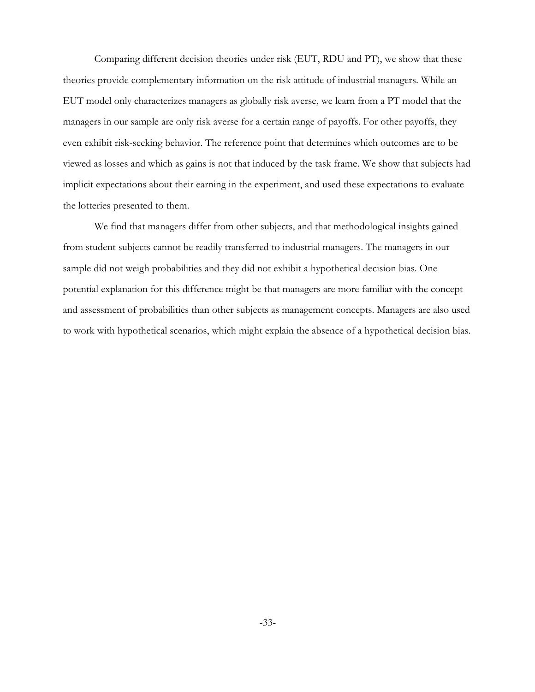Comparing different decision theories under risk (EUT, RDU and PT), we show that these theories provide complementary information on the risk attitude of industrial managers. While an EUT model only characterizes managers as globally risk averse, we learn from a PT model that the managers in our sample are only risk averse for a certain range of payoffs. For other payoffs, they even exhibit risk-seeking behavior. The reference point that determines which outcomes are to be viewed as losses and which as gains is not that induced by the task frame. We show that subjects had implicit expectations about their earning in the experiment, and used these expectations to evaluate the lotteries presented to them.

We find that managers differ from other subjects, and that methodological insights gained from student subjects cannot be readily transferred to industrial managers. The managers in our sample did not weigh probabilities and they did not exhibit a hypothetical decision bias. One potential explanation for this difference might be that managers are more familiar with the concept and assessment of probabilities than other subjects as management concepts. Managers are also used to work with hypothetical scenarios, which might explain the absence of a hypothetical decision bias.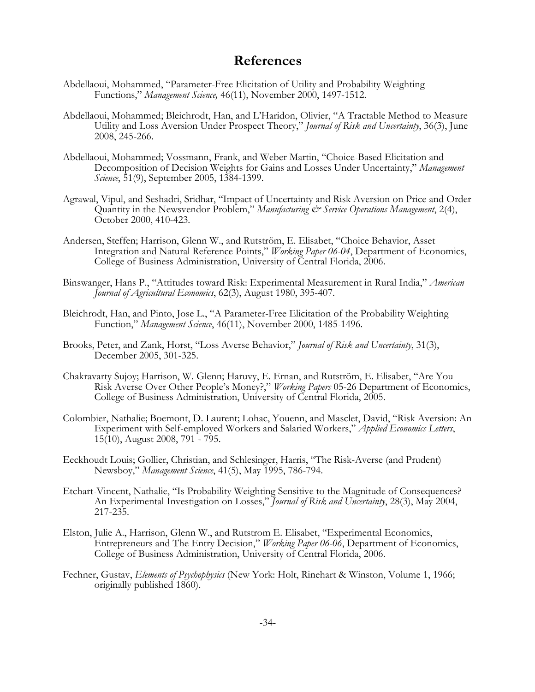## **References**

- Abdellaoui, Mohammed, "Parameter-Free Elicitation of Utility and Probability Weighting Functions," *Management Science,* 46(11), November 2000, 1497-1512.
- Abdellaoui, Mohammed; Bleichrodt, Han, and L'Haridon, Olivier, "A Tractable Method to Measure Utility and Loss Aversion Under Prospect Theory," *Journal of Risk and Uncertainty*, 36(3), June 2008, 245-266.
- Abdellaoui, Mohammed; Vossmann, Frank, and Weber Martin, "Choice-Based Elicitation and Decomposition of Decision Weights for Gains and Losses Under Uncertainty," *Management Science*, 51(9), September 2005, 1384-1399.
- Agrawal, Vipul, and Seshadri, Sridhar, "Impact of Uncertainty and Risk Aversion on Price and Order Quantity in the Newsvendor Problem," *Manufacturing & Service Operations Management*, 2(4), October 2000, 410-423.
- Andersen, Steffen; Harrison, Glenn W., and Rutström, E. Elisabet, "Choice Behavior, Asset Integration and Natural Reference Points," *Working Paper 06-04*, Department of Economics, College of Business Administration, University of Central Florida, 2006.
- Binswanger, Hans P., "Attitudes toward Risk: Experimental Measurement in Rural India," *American Journal of Agricultural Economics*, 62(3), August 1980, 395-407.
- Bleichrodt, Han, and Pinto, Jose L., "A Parameter-Free Elicitation of the Probability Weighting Function," *Management Science*, 46(11), November 2000, 1485-1496.
- Brooks, Peter, and Zank, Horst, "Loss Averse Behavior," *Journal of Risk and Uncertainty*, 31(3), December 2005, 301-325.
- Chakravarty Sujoy; Harrison, W. Glenn; Haruvy, E. Ernan, and Rutström, E. Elisabet, "Are You Risk Averse Over Other People's Money?," *Working Papers* 05-26 Department of Economics, College of Business Administration, University of Central Florida, 2005.
- Colombier, Nathalie; Boemont, D. Laurent; Lohac, Youenn, and Masclet, David, "Risk Aversion: An Experiment with Self-employed Workers and Salaried Workers," *Applied Economics Letters*, 15(10), August 2008, 791 - 795.
- Eeckhoudt Louis; Gollier, Christian, and Schlesinger, Harris, "The Risk-Averse (and Prudent) Newsboy," *Management Science*, 41(5), May 1995, 786-794.
- Etchart-Vincent, Nathalie, "Is Probability Weighting Sensitive to the Magnitude of Consequences? An Experimental Investigation on Losses," *Journal of Risk and Uncertainty*, 28(3), May 2004, 217-235.
- Elston, Julie A., Harrison, Glenn W., and Rutstrom E. Elisabet, "Experimental Economics, Entrepreneurs and The Entry Decision," *Working Paper 06-06*, Department of Economics, College of Business Administration, University of Central Florida, 2006.
- Fechner, Gustav, *Elements of Psychophysics* (New York: Holt, Rinehart & Winston, Volume 1, 1966; originally published 1860).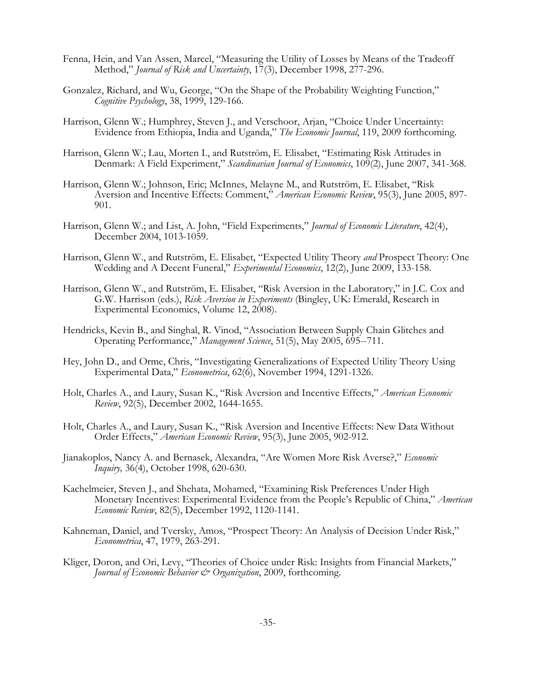- Fenna, Hein, and Van Assen, Marcel, "Measuring the Utility of Losses by Means of the Tradeoff Method," *Journal of Risk and Uncertainty*, 17(3), December 1998, 277-296.
- Gonzalez, Richard, and Wu, George, "On the Shape of the Probability Weighting Function," *Cognitive Psychology*, 38, 1999, 129-166.
- Harrison, Glenn W.; Humphrey, Steven J., and Verschoor, Arjan, "Choice Under Uncertainty: Evidence from Ethiopia, India and Uganda," *The Economic Journal*, 119, 2009 forthcoming.
- Harrison, Glenn W.; Lau, Morten I., and Rutström, E. Elisabet, "Estimating Risk Attitudes in Denmark: A Field Experiment," *Scandinavian Journal of Economics*, 109(2), June 2007, 341-368.
- Harrison, Glenn W.; Johnson, Eric; McInnes, Melayne M., and Rutström, E. Elisabet, "Risk Aversion and Incentive Effects: Comment," *American Economic Review*, 95(3), June 2005, 897- 901.
- Harrison, Glenn W.; and List, A. John, "Field Experiments," *Journal of Economic Literature*, 42(4), December 2004, 1013-1059.
- Harrison, Glenn W., and Rutström, E. Elisabet, "Expected Utility Theory *and* Prospect Theory: One Wedding and A Decent Funeral," *Experimental Economics*, 12(2), June 2009, 133-158.
- Harrison, Glenn W., and Rutström, E. Elisabet, "Risk Aversion in the Laboratory," in J.C. Cox and G.W. Harrison (eds.), *Risk Aversion in Experiments* (Bingley, UK: Emerald, Research in Experimental Economics, Volume 12, 2008).
- Hendricks, Kevin B., and Singhal, R. Vinod, "Association Between Supply Chain Glitches and Operating Performance," *Management Science*, 51(5), May 2005, 695--711.
- Hey, John D., and Orme, Chris, "Investigating Generalizations of Expected Utility Theory Using Experimental Data," *Econometrica*, 62(6), November 1994, 1291-1326.
- Holt, Charles A., and Laury, Susan K., "Risk Aversion and Incentive Effects," *American Economic Review*, 92(5), December 2002, 1644-1655.
- Holt, Charles A., and Laury, Susan K., "Risk Aversion and Incentive Effects: New Data Without Order Effects," *American Economic Review*, 95(3), June 2005, 902-912.
- Jianakoplos, Nancy A. and Bernasek, Alexandra, "Are Women More Risk Averse?," *Economic Inquiry,* 36(4), October 1998, 620-630.
- Kachelmeier, Steven J., and Shehata, Mohamed, "Examining Risk Preferences Under High Monetary Incentives: Experimental Evidence from the People's Republic of China," *American Economic Review*, 82(5), December 1992, 1120-1141.
- Kahneman, Daniel, and Tversky, Amos, "Prospect Theory: An Analysis of Decision Under Risk," *Econometrica*, 47, 1979, 263-291.
- Kliger, Doron, and Ori, Levy, "Theories of Choice under Risk: Insights from Financial Markets," *Journal of Economic Behavior & Organization*, 2009, forthcoming.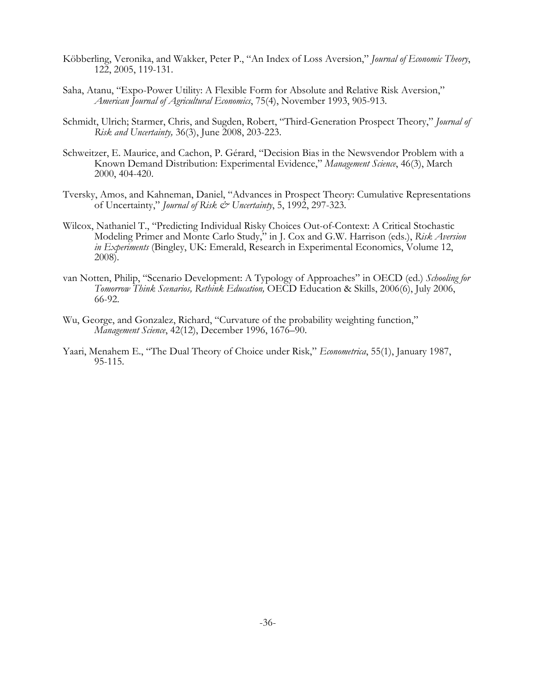- Köbberling, Veronika, and Wakker, Peter P., "An Index of Loss Aversion," *Journal of Economic Theory*, 122, 2005, 119-131.
- Saha, Atanu, "Expo-Power Utility: A Flexible Form for Absolute and Relative Risk Aversion," *American Journal of Agricultural Economics*, 75(4), November 1993, 905-913.
- Schmidt, Ulrich; Starmer, Chris, and Sugden, Robert, "Third-Generation Prospect Theory," *Journal of Risk and Uncertainty,* 36(3), June 2008, 203-223.
- Schweitzer, E. Maurice, and Cachon, P. Gérard, "Decision Bias in the Newsvendor Problem with a Known Demand Distribution: Experimental Evidence," *Management Science*, 46(3), March 2000, 404-420.
- Tversky, Amos, and Kahneman, Daniel, "Advances in Prospect Theory: Cumulative Representations of Uncertainty," *Journal of Risk & Uncertainty*, 5, 1992, 297-323.
- Wilcox, Nathaniel T., "Predicting Individual Risky Choices Out-of-Context: A Critical Stochastic Modeling Primer and Monte Carlo Study," in J. Cox and G.W. Harrison (eds.), *Risk Aversion in Experiments* (Bingley, UK: Emerald, Research in Experimental Economics, Volume 12, 2008).
- van Notten, Philip, "Scenario Development: A Typology of Approaches" in OECD (ed.) *Schooling for Tomorrow Think Scenarios, Rethink Education,* OECD Education & Skills, 2006(6), July 2006, 66-92.
- Wu, George, and Gonzalez, Richard, "Curvature of the probability weighting function," *Management Science*, 42(12), December 1996, 1676–90.
- Yaari, Menahem E., "The Dual Theory of Choice under Risk," *Econometrica*, 55(1), January 1987, 95-115.